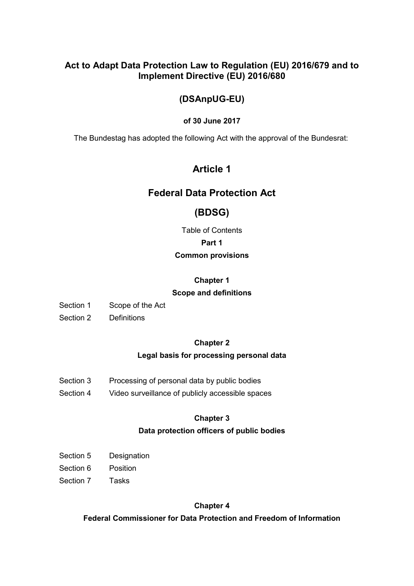# **Act to Adapt Data Protection Law to Regulation (EU) 2016/679 and to Implement Directive (EU) 2016/680**

# **(DSAnpUG-EU)**

### **of 30 June 2017**

The Bundestag has adopted the following Act with the approval of the Bundesrat:

# **Article 1**

# **Federal Data Protection Act**

# **(BDSG)**

Table of Contents

### **Part 1**

### **Common provisions**

## **Chapter 1**

### **Scope and definitions**

Section 1 Scope of the Act

Section 2 Definitions

### **Chapter 2**

# **Legal basis for processing personal data**

- Section 3 Processing of personal data by public bodies
- Section 4 Video surveillance of publicly accessible spaces

# **Chapter 3**

### **Data protection officers of public bodies**

- Section 5 Designation
- Section 6 Position
- Section 7 Tasks

### **Chapter 4**

**Federal Commissioner for Data Protection and Freedom of Information**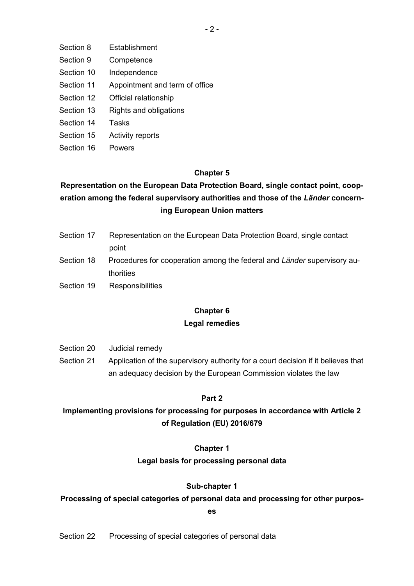- Section 8 Establishment
- Section 9 Competence
- Section 10 Independence
- Section 11 Appointment and term of office
- Section 12 Official relationship
- Section 13 Rights and obligations
- Section 14 Tasks
- Section 15 Activity reports
- Section 16 Powers

### **Chapter 5**

# **Representation on the European Data Protection Board, single contact point, cooperation among the federal supervisory authorities and those of the** *Länder* **concerning European Union matters**

- Section 17 Representation on the European Data Protection Board, single contact point
- Section 18 Procedures for cooperation among the federal and *Länder* supervisory authorities
- Section 19 Responsibilities

# **Chapter 6**

### **Legal remedies**

- Section 20 Judicial remedy
- Section 21 Application of the supervisory authority for a court decision if it believes that an adequacy decision by the European Commission violates the law

### **Part 2**

# **Implementing provisions for processing for purposes in accordance with Article 2 of Regulation (EU) 2016/679**

### **Chapter 1**

### **Legal basis for processing personal data**

### **Sub-chapter 1**

### **Processing of special categories of personal data and processing for other purpos-**

### **es**

Section 22 Processing of special categories of personal data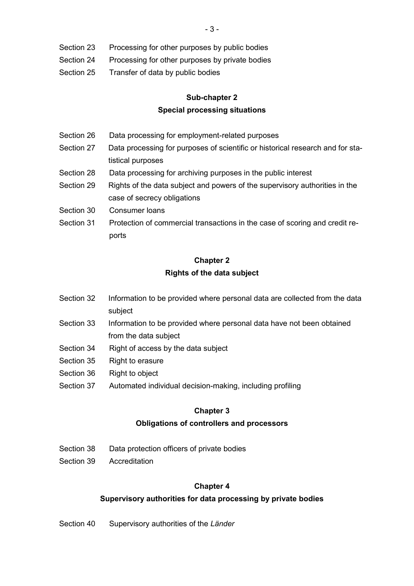- Section 23 Processing for other purposes by public bodies
- Section 24 Processing for other purposes by private bodies
- Section 25 Transfer of data by public bodies

# **Sub-chapter 2 Special processing situations**

- Section 26 Data processing for employment-related purposes
- Section 27 Data processing for purposes of scientific or historical research and for statistical purposes
- Section 28 Data processing for archiving purposes in the public interest
- Section 29 Rights of the data subject and powers of the supervisory authorities in the case of secrecy obligations
- Section 30 Consumer loans
- Section 31 Protection of commercial transactions in the case of scoring and credit reports

# **Chapter 2 Rights of the data subject**

- Section 32 Information to be provided where personal data are collected from the data subject
- Section 33 Information to be provided where personal data have not been obtained from the data subject
- Section 34 Right of access by the data subject
- Section 35 Right to erasure
- Section 36 Right to object
- Section 37 Automated individual decision-making, including profiling

### **Chapter 3**

### **Obligations of controllers and processors**

- Section 38 Data protection officers of private bodies
- Section 39 Accreditation

### **Chapter 4**

### **Supervisory authorities for data processing by private bodies**

Section 40 Supervisory authorities of the *Länder*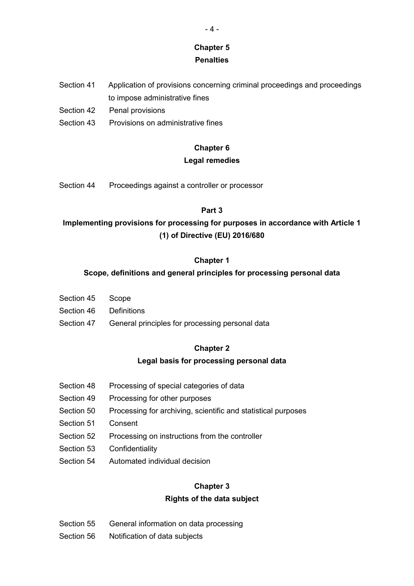# **Chapter 5**

### **Penalties**

- Section 41 Application of provisions concerning criminal proceedings and proceedings to impose administrative fines
- Section 42 Penal provisions
- Section 43 Provisions on administrative fines

### **Chapter 6**

### **Legal remedies**

Section 44 Proceedings against a controller or processor

### **Part 3**

# **Implementing provisions for processing for purposes in accordance with Article 1 (1) of Directive (EU) 2016/680**

### **Chapter 1**

### **Scope, definitions and general principles for processing personal data**

- Section 45 Scope
- Section 46 Definitions
- Section 47 General principles for processing personal data

### **Chapter 2**

### **Legal basis for processing personal data**

- Section 48 Processing of special categories of data
- Section 49 Processing for other purposes
- Section 50 Processing for archiving, scientific and statistical purposes
- Section 51 Consent
- Section 52 Processing on instructions from the controller
- Section 53 Confidentiality
- Section 54 Automated individual decision

### **Chapter 3**

### **Rights of the data subject**

- Section 55 General information on data processing
- Section 56 Notification of data subjects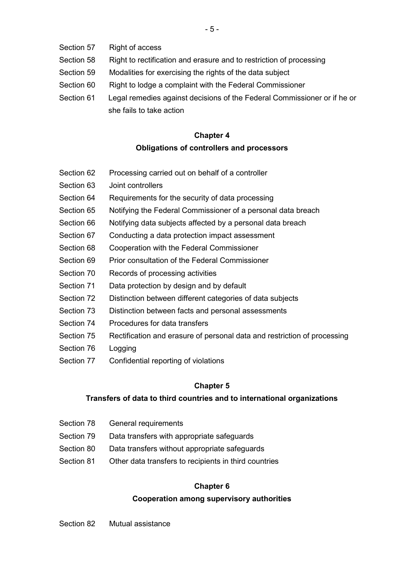- Section 57 Right of access
- Section 58 Right to rectification and erasure and to restriction of processing
- Section 59 Modalities for exercising the rights of the data subject
- Section 60 Right to lodge a complaint with the Federal Commissioner
- Section 61 Legal remedies against decisions of the Federal Commissioner or if he or she fails to take action

# **Chapter 4 Obligations of controllers and processors**

- Section 62 Processing carried out on behalf of a controller
- Section 63 Joint controllers
- Section 64 Requirements for the security of data processing
- Section 65 Notifying the Federal Commissioner of a personal data breach
- Section 66 Notifying data subjects affected by a personal data breach
- Section 67 Conducting a data protection impact assessment
- Section 68 Cooperation with the Federal Commissioner
- Section 69 Prior consultation of the Federal Commissioner
- Section 70 Records of processing activities
- Section 71 Data protection by design and by default
- Section 72 Distinction between different categories of data subjects
- Section 73 Distinction between facts and personal assessments
- Section 74 Procedures for data transfers
- Section 75 Rectification and erasure of personal data and restriction of processing
- Section 76 Logging
- Section 77 Confidential reporting of violations

### **Chapter 5**

### **Transfers of data to third countries and to international organizations**

- Section 78 General requirements
- Section 79 Data transfers with appropriate safeguards
- Section 80 Data transfers without appropriate safequards
- Section 81 Other data transfers to recipients in third countries

### **Chapter 6**

### **Cooperation among supervisory authorities**

Section 82 Mutual assistance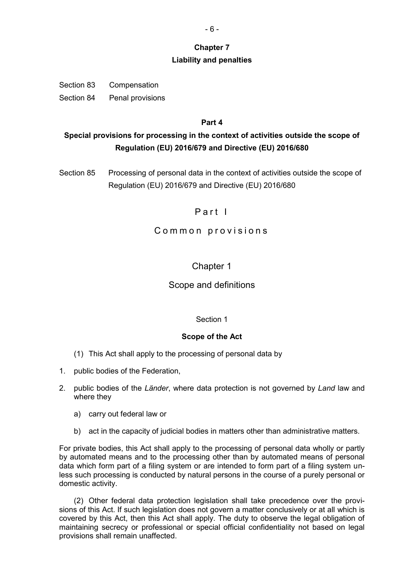### **Chapter 7**

### **Liability and penalties**

Section 83 Compensation Section 84 Penal provisions

### **Part 4**

# **Special provisions for processing in the context of activities outside the scope of Regulation (EU) 2016/679 and Directive (EU) 2016/680**

Section 85 Processing of personal data in the context of activities outside the scope of Regulation (EU) 2016/679 and Directive (EU) 2016/680

# Part I

### Common provisions

# Chapter 1

### Scope and definitions

### Section 1

### **Scope of the Act**

- (1) This Act shall apply to the processing of personal data by
- 1. public bodies of the Federation,
- 2. public bodies of the *Länder*, where data protection is not governed by *Land* law and where they
	- a) carry out federal law or
	- b) act in the capacity of judicial bodies in matters other than administrative matters.

For private bodies, this Act shall apply to the processing of personal data wholly or partly by automated means and to the processing other than by automated means of personal data which form part of a filing system or are intended to form part of a filing system unless such processing is conducted by natural persons in the course of a purely personal or domestic activity.

(2) Other federal data protection legislation shall take precedence over the provisions of this Act. If such legislation does not govern a matter conclusively or at all which is covered by this Act, then this Act shall apply. The duty to observe the legal obligation of maintaining secrecy or professional or special official confidentiality not based on legal provisions shall remain unaffected.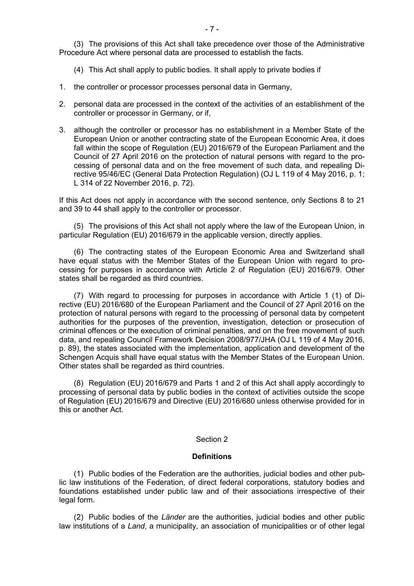(3) The provisions of this Act shall take precedence over those of the Administrative Procedure Act where personal data are processed to establish the facts.

(4) This Act shall apply to public bodies. It shall apply to private bodies if

- 1. the controller or processor processes personal data in Germany,
- 2. personal data are processed in the context of the activities of an establishment of the controller or processor in Germany, or if,
- 3. although the controller or processor has no establishment in a Member State of the European Union or another contracting state of the European Economic Area, it does fall within the scope of Regulation (EU) 2016/679 of the European Parliament and the Council of 27 April 2016 on the protection of natural persons with regard to the processing of personal data and on the free movement of such data, and repealing Directive 95/46/EC (General Data Protection Regulation) (OJ L 119 of 4 May 2016, p. 1; L 314 of 22 November 2016, p. 72).

If this Act does not apply in accordance with the second sentence, only Sections 8 to 21 and 39 to 44 shall apply to the controller or processor.

(5) The provisions of this Act shall not apply where the law of the European Union, in particular Regulation (EU) 2016/679 in the applicable version, directly applies.

(6) The contracting states of the European Economic Area and Switzerland shall have equal status with the Member States of the European Union with regard to processing for purposes in accordance with Article 2 of Regulation (EU) 2016/679. Other states shall be regarded as third countries.

(7) With regard to processing for purposes in accordance with Article 1 (1) of Directive (EU) 2016/680 of the European Parliament and the Council of 27 April 2016 on the protection of natural persons with regard to the processing of personal data by competent authorities for the purposes of the prevention, investigation, detection or prosecution of criminal offences or the execution of criminal penalties, and on the free movement of such data, and repealing Council Framework Decision 2008/977/JHA (OJ L 119 of 4 May 2016, p. 89), the states associated with the implementation, application and development of the Schengen Acquis shall have equal status with the Member States of the European Union. Other states shall be regarded as third countries.

(8) Regulation (EU) 2016/679 and Parts 1 and 2 of this Act shall apply accordingly to processing of personal data by public bodies in the context of activities outside the scope of Regulation (EU) 2016/679 and Directive (EU) 2016/680 unless otherwise provided for in this or another Act.

#### Section 2

#### **Definitions**

(1) Public bodies of the Federation are the authorities, judicial bodies and other public law institutions of the Federation, of direct federal corporations, statutory bodies and foundations established under public law and of their associations irrespective of their legal form.

(2) Public bodies of the *Länder* are the authorities, judicial bodies and other public law institutions of a *Land*, a municipality, an association of municipalities or of other legal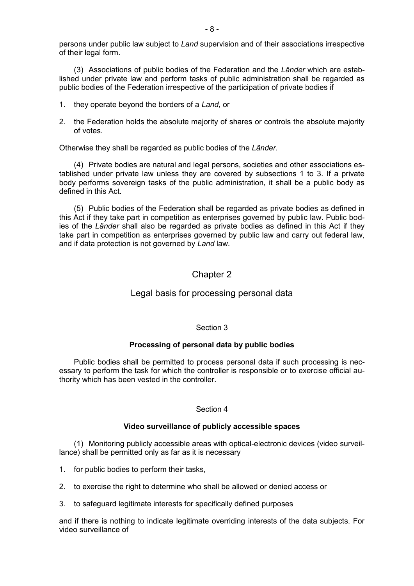persons under public law subject to *Land* supervision and of their associations irrespective of their legal form.

(3) Associations of public bodies of the Federation and the *Länder* which are established under private law and perform tasks of public administration shall be regarded as public bodies of the Federation irrespective of the participation of private bodies if

- 1. they operate beyond the borders of a *Land*, or
- 2. the Federation holds the absolute majority of shares or controls the absolute majority of votes.

Otherwise they shall be regarded as public bodies of the *Länder*.

(4) Private bodies are natural and legal persons, societies and other associations established under private law unless they are covered by subsections 1 to 3. If a private body performs sovereign tasks of the public administration, it shall be a public body as defined in this Act.

(5) Public bodies of the Federation shall be regarded as private bodies as defined in this Act if they take part in competition as enterprises governed by public law. Public bodies of the *Länder* shall also be regarded as private bodies as defined in this Act if they take part in competition as enterprises governed by public law and carry out federal law, and if data protection is not governed by *Land* law.

# Chapter 2

### Legal basis for processing personal data

### Section 3

### **Processing of personal data by public bodies**

Public bodies shall be permitted to process personal data if such processing is necessary to perform the task for which the controller is responsible or to exercise official authority which has been vested in the controller.

### Section 4

### **Video surveillance of publicly accessible spaces**

(1) Monitoring publicly accessible areas with optical-electronic devices (video surveillance) shall be permitted only as far as it is necessary

- 1. for public bodies to perform their tasks,
- 2. to exercise the right to determine who shall be allowed or denied access or
- 3. to safeguard legitimate interests for specifically defined purposes

and if there is nothing to indicate legitimate overriding interests of the data subjects. For video surveillance of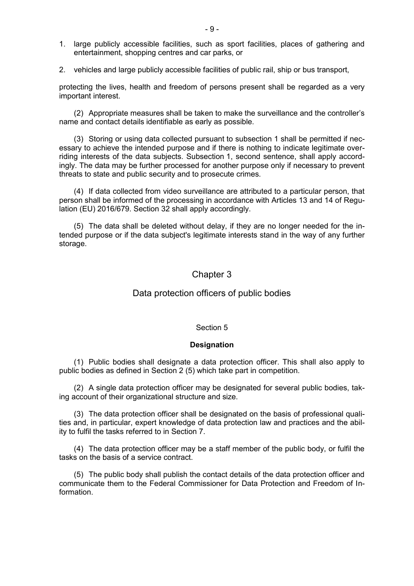- 1. large publicly accessible facilities, such as sport facilities, places of gathering and entertainment, shopping centres and car parks, or
- 2. vehicles and large publicly accessible facilities of public rail, ship or bus transport,

protecting the lives, health and freedom of persons present shall be regarded as a very important interest.

(2) Appropriate measures shall be taken to make the surveillance and the controller's name and contact details identifiable as early as possible.

(3) Storing or using data collected pursuant to subsection 1 shall be permitted if necessary to achieve the intended purpose and if there is nothing to indicate legitimate overriding interests of the data subjects. Subsection 1, second sentence, shall apply accordingly. The data may be further processed for another purpose only if necessary to prevent threats to state and public security and to prosecute crimes.

(4) If data collected from video surveillance are attributed to a particular person, that person shall be informed of the processing in accordance with Articles 13 and 14 of Regulation (EU) 2016/679. Section 32 shall apply accordingly.

(5) The data shall be deleted without delay, if they are no longer needed for the intended purpose or if the data subject's legitimate interests stand in the way of any further storage.

### Chapter 3

### Data protection officers of public bodies

#### Section 5

#### **Designation**

(1) Public bodies shall designate a data protection officer. This shall also apply to public bodies as defined in Section 2 (5) which take part in competition.

(2) A single data protection officer may be designated for several public bodies, taking account of their organizational structure and size.

(3) The data protection officer shall be designated on the basis of professional qualities and, in particular, expert knowledge of data protection law and practices and the ability to fulfil the tasks referred to in Section 7.

(4) The data protection officer may be a staff member of the public body, or fulfil the tasks on the basis of a service contract.

(5) The public body shall publish the contact details of the data protection officer and communicate them to the Federal Commissioner for Data Protection and Freedom of Information.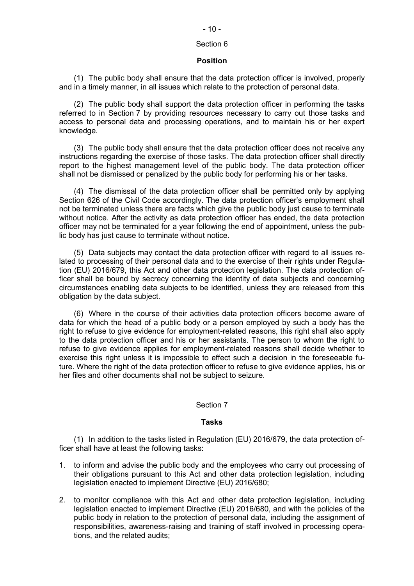# $-10-$

### Section 6

#### **Position**

(1) The public body shall ensure that the data protection officer is involved, properly and in a timely manner, in all issues which relate to the protection of personal data.

(2) The public body shall support the data protection officer in performing the tasks referred to in Section 7 by providing resources necessary to carry out those tasks and access to personal data and processing operations, and to maintain his or her expert knowledge.

(3) The public body shall ensure that the data protection officer does not receive any instructions regarding the exercise of those tasks. The data protection officer shall directly report to the highest management level of the public body. The data protection officer shall not be dismissed or penalized by the public body for performing his or her tasks.

(4) The dismissal of the data protection officer shall be permitted only by applying Section 626 of the Civil Code accordingly. The data protection officer's employment shall not be terminated unless there are facts which give the public body just cause to terminate without notice. After the activity as data protection officer has ended, the data protection officer may not be terminated for a year following the end of appointment, unless the public body has just cause to terminate without notice.

(5) Data subjects may contact the data protection officer with regard to all issues related to processing of their personal data and to the exercise of their rights under Regulation (EU) 2016/679, this Act and other data protection legislation. The data protection officer shall be bound by secrecy concerning the identity of data subjects and concerning circumstances enabling data subjects to be identified, unless they are released from this obligation by the data subject.

(6) Where in the course of their activities data protection officers become aware of data for which the head of a public body or a person employed by such a body has the right to refuse to give evidence for employment-related reasons, this right shall also apply to the data protection officer and his or her assistants. The person to whom the right to refuse to give evidence applies for employment-related reasons shall decide whether to exercise this right unless it is impossible to effect such a decision in the foreseeable future. Where the right of the data protection officer to refuse to give evidence applies, his or her files and other documents shall not be subject to seizure.

### Section 7

### **Tasks**

(1) In addition to the tasks listed in Regulation (EU) 2016/679, the data protection officer shall have at least the following tasks:

- 1. to inform and advise the public body and the employees who carry out processing of their obligations pursuant to this Act and other data protection legislation, including legislation enacted to implement Directive (EU) 2016/680;
- 2. to monitor compliance with this Act and other data protection legislation, including legislation enacted to implement Directive (EU) 2016/680, and with the policies of the public body in relation to the protection of personal data, including the assignment of responsibilities, awareness-raising and training of staff involved in processing operations, and the related audits;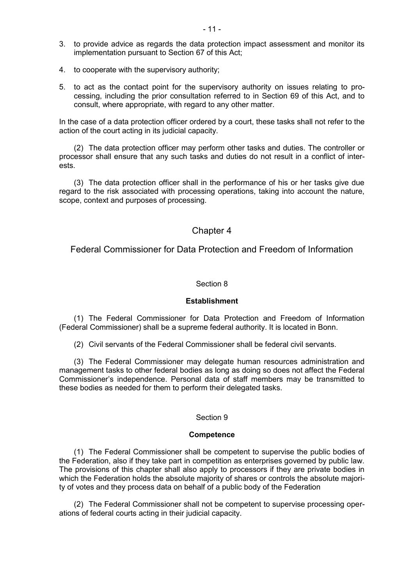- 3. to provide advice as regards the data protection impact assessment and monitor its implementation pursuant to Section 67 of this Act;
- 4. to cooperate with the supervisory authority;
- 5. to act as the contact point for the supervisory authority on issues relating to processing, including the prior consultation referred to in Section 69 of this Act, and to consult, where appropriate, with regard to any other matter.

In the case of a data protection officer ordered by a court, these tasks shall not refer to the action of the court acting in its judicial capacity.

(2) The data protection officer may perform other tasks and duties. The controller or processor shall ensure that any such tasks and duties do not result in a conflict of interests.

(3) The data protection officer shall in the performance of his or her tasks give due regard to the risk associated with processing operations, taking into account the nature, scope, context and purposes of processing.

### Chapter 4

Federal Commissioner for Data Protection and Freedom of Information

#### Section 8

#### **Establishment**

(1) The Federal Commissioner for Data Protection and Freedom of Information (Federal Commissioner) shall be a supreme federal authority. It is located in Bonn.

(2) Civil servants of the Federal Commissioner shall be federal civil servants.

(3) The Federal Commissioner may delegate human resources administration and management tasks to other federal bodies as long as doing so does not affect the Federal Commissioner's independence. Personal data of staff members may be transmitted to these bodies as needed for them to perform their delegated tasks.

#### Section 9

#### **Competence**

(1) The Federal Commissioner shall be competent to supervise the public bodies of the Federation, also if they take part in competition as enterprises governed by public law. The provisions of this chapter shall also apply to processors if they are private bodies in which the Federation holds the absolute majority of shares or controls the absolute majority of votes and they process data on behalf of a public body of the Federation

(2) The Federal Commissioner shall not be competent to supervise processing operations of federal courts acting in their judicial capacity.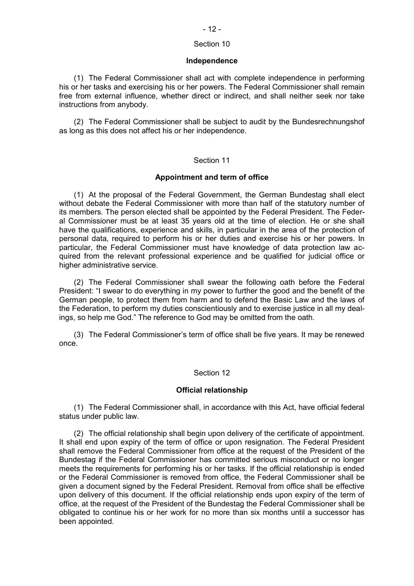### Section 10

#### **Independence**

(1) The Federal Commissioner shall act with complete independence in performing his or her tasks and exercising his or her powers. The Federal Commissioner shall remain free from external influence, whether direct or indirect, and shall neither seek nor take instructions from anybody.

(2) The Federal Commissioner shall be subject to audit by the Bundesrechnungshof as long as this does not affect his or her independence.

#### Section 11

#### **Appointment and term of office**

(1) At the proposal of the Federal Government, the German Bundestag shall elect without debate the Federal Commissioner with more than half of the statutory number of its members. The person elected shall be appointed by the Federal President. The Federal Commissioner must be at least 35 years old at the time of election. He or she shall have the qualifications, experience and skills, in particular in the area of the protection of personal data, required to perform his or her duties and exercise his or her powers. In particular, the Federal Commissioner must have knowledge of data protection law acquired from the relevant professional experience and be qualified for judicial office or higher administrative service.

(2) The Federal Commissioner shall swear the following oath before the Federal President: "I swear to do everything in my power to further the good and the benefit of the German people, to protect them from harm and to defend the Basic Law and the laws of the Federation, to perform my duties conscientiously and to exercise justice in all my dealings, so help me God." The reference to God may be omitted from the oath.

(3) The Federal Commissioner's term of office shall be five years. It may be renewed once.

#### Section 12

#### **Official relationship**

(1) The Federal Commissioner shall, in accordance with this Act, have official federal status under public law.

(2) The official relationship shall begin upon delivery of the certificate of appointment. It shall end upon expiry of the term of office or upon resignation. The Federal President shall remove the Federal Commissioner from office at the request of the President of the Bundestag if the Federal Commissioner has committed serious misconduct or no longer meets the requirements for performing his or her tasks. If the official relationship is ended or the Federal Commissioner is removed from office, the Federal Commissioner shall be given a document signed by the Federal President. Removal from office shall be effective upon delivery of this document. If the official relationship ends upon expiry of the term of office, at the request of the President of the Bundestag the Federal Commissioner shall be obligated to continue his or her work for no more than six months until a successor has been appointed.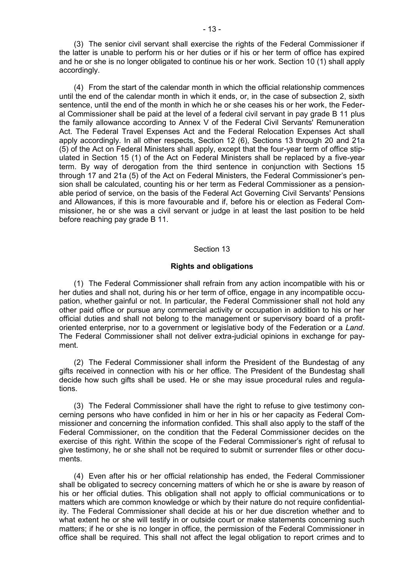(3) The senior civil servant shall exercise the rights of the Federal Commissioner if the latter is unable to perform his or her duties or if his or her term of office has expired and he or she is no longer obligated to continue his or her work. Section 10 (1) shall apply accordingly.

(4) From the start of the calendar month in which the official relationship commences until the end of the calendar month in which it ends, or, in the case of subsection 2, sixth sentence, until the end of the month in which he or she ceases his or her work, the Federal Commissioner shall be paid at the level of a federal civil servant in pay grade B 11 plus the family allowance according to Annex V of the Federal Civil Servants' Remuneration Act. The Federal Travel Expenses Act and the Federal Relocation Expenses Act shall apply accordingly. In all other respects, Section 12 (6), Sections 13 through 20 and 21a (5) of the Act on Federal Ministers shall apply, except that the four-year term of office stipulated in Section 15 (1) of the Act on Federal Ministers shall be replaced by a five-year term. By way of derogation from the third sentence in conjunction with Sections 15 through 17 and 21a (5) of the Act on Federal Ministers, the Federal Commissioner's pension shall be calculated, counting his or her term as Federal Commissioner as a pensionable period of service, on the basis of the Federal Act Governing Civil Servants' Pensions and Allowances, if this is more favourable and if, before his or election as Federal Commissioner, he or she was a civil servant or judge in at least the last position to be held before reaching pay grade B 11.

#### Section 13

#### **Rights and obligations**

(1) The Federal Commissioner shall refrain from any action incompatible with his or her duties and shall not, during his or her term of office, engage in any incompatible occupation, whether gainful or not. In particular, the Federal Commissioner shall not hold any other paid office or pursue any commercial activity or occupation in addition to his or her official duties and shall not belong to the management or supervisory board of a profitoriented enterprise, nor to a government or legislative body of the Federation or a *Land*. The Federal Commissioner shall not deliver extra-judicial opinions in exchange for payment.

(2) The Federal Commissioner shall inform the President of the Bundestag of any gifts received in connection with his or her office. The President of the Bundestag shall decide how such gifts shall be used. He or she may issue procedural rules and regulations.

(3) The Federal Commissioner shall have the right to refuse to give testimony concerning persons who have confided in him or her in his or her capacity as Federal Commissioner and concerning the information confided. This shall also apply to the staff of the Federal Commissioner, on the condition that the Federal Commissioner decides on the exercise of this right. Within the scope of the Federal Commissioner's right of refusal to give testimony, he or she shall not be required to submit or surrender files or other documents.

(4) Even after his or her official relationship has ended, the Federal Commissioner shall be obligated to secrecy concerning matters of which he or she is aware by reason of his or her official duties. This obligation shall not apply to official communications or to matters which are common knowledge or which by their nature do not require confidentiality. The Federal Commissioner shall decide at his or her due discretion whether and to what extent he or she will testify in or outside court or make statements concerning such matters; if he or she is no longer in office, the permission of the Federal Commissioner in office shall be required. This shall not affect the legal obligation to report crimes and to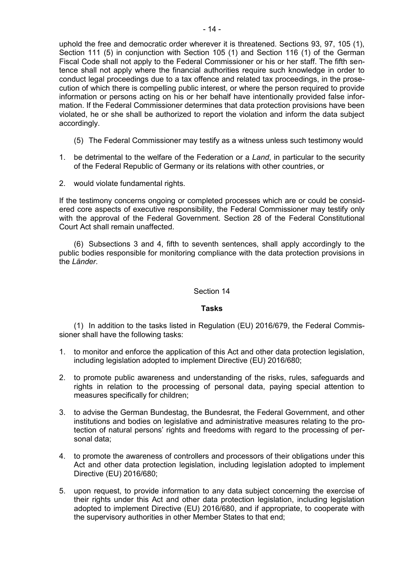uphold the free and democratic order wherever it is threatened. Sections 93, 97, 105 (1), Section 111 (5) in conjunction with Section 105 (1) and Section 116 (1) of the German Fiscal Code shall not apply to the Federal Commissioner or his or her staff. The fifth sentence shall not apply where the financial authorities require such knowledge in order to conduct legal proceedings due to a tax offence and related tax proceedings, in the prosecution of which there is compelling public interest, or where the person required to provide information or persons acting on his or her behalf have intentionally provided false information. If the Federal Commissioner determines that data protection provisions have been violated, he or she shall be authorized to report the violation and inform the data subject accordingly.

- (5) The Federal Commissioner may testify as a witness unless such testimony would
- 1. be detrimental to the welfare of the Federation or a *Land*, in particular to the security of the Federal Republic of Germany or its relations with other countries, or
- 2. would violate fundamental rights.

If the testimony concerns ongoing or completed processes which are or could be considered core aspects of executive responsibility, the Federal Commissioner may testify only with the approval of the Federal Government. Section 28 of the Federal Constitutional Court Act shall remain unaffected.

(6) Subsections 3 and 4, fifth to seventh sentences, shall apply accordingly to the public bodies responsible for monitoring compliance with the data protection provisions in the *Länder*.

### Section 14

### **Tasks**

(1) In addition to the tasks listed in Regulation (EU) 2016/679, the Federal Commissioner shall have the following tasks:

- 1. to monitor and enforce the application of this Act and other data protection legislation, including legislation adopted to implement Directive (EU) 2016/680;
- 2. to promote public awareness and understanding of the risks, rules, safeguards and rights in relation to the processing of personal data, paying special attention to measures specifically for children;
- 3. to advise the German Bundestag, the Bundesrat, the Federal Government, and other institutions and bodies on legislative and administrative measures relating to the protection of natural persons' rights and freedoms with regard to the processing of personal data;
- 4. to promote the awareness of controllers and processors of their obligations under this Act and other data protection legislation, including legislation adopted to implement Directive (EU) 2016/680;
- 5. upon request, to provide information to any data subject concerning the exercise of their rights under this Act and other data protection legislation, including legislation adopted to implement Directive (EU) 2016/680, and if appropriate, to cooperate with the supervisory authorities in other Member States to that end;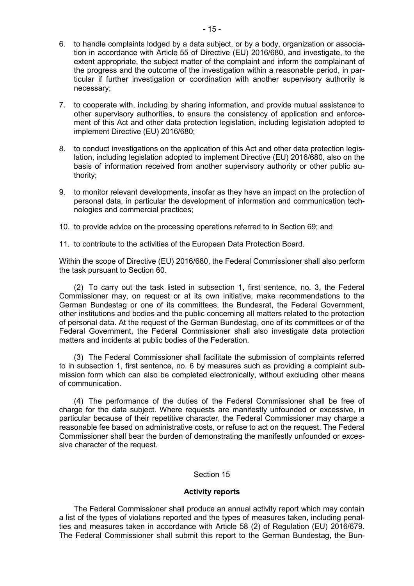- 6. to handle complaints lodged by a data subject, or by a body, organization or association in accordance with Article 55 of Directive (EU) 2016/680, and investigate, to the extent appropriate, the subject matter of the complaint and inform the complainant of the progress and the outcome of the investigation within a reasonable period, in particular if further investigation or coordination with another supervisory authority is necessary;
- 7. to cooperate with, including by sharing information, and provide mutual assistance to other supervisory authorities, to ensure the consistency of application and enforcement of this Act and other data protection legislation, including legislation adopted to implement Directive (EU) 2016/680;
- 8. to conduct investigations on the application of this Act and other data protection legislation, including legislation adopted to implement Directive (EU) 2016/680, also on the basis of information received from another supervisory authority or other public authority;
- 9. to monitor relevant developments, insofar as they have an impact on the protection of personal data, in particular the development of information and communication technologies and commercial practices;
- 10. to provide advice on the processing operations referred to in Section 69; and
- 11. to contribute to the activities of the European Data Protection Board.

Within the scope of Directive (EU) 2016/680, the Federal Commissioner shall also perform the task pursuant to Section 60.

(2) To carry out the task listed in subsection 1, first sentence, no. 3, the Federal Commissioner may, on request or at its own initiative, make recommendations to the German Bundestag or one of its committees, the Bundesrat, the Federal Government, other institutions and bodies and the public concerning all matters related to the protection of personal data. At the request of the German Bundestag, one of its committees or of the Federal Government, the Federal Commissioner shall also investigate data protection matters and incidents at public bodies of the Federation.

(3) The Federal Commissioner shall facilitate the submission of complaints referred to in subsection 1, first sentence, no. 6 by measures such as providing a complaint submission form which can also be completed electronically, without excluding other means of communication.

(4) The performance of the duties of the Federal Commissioner shall be free of charge for the data subject. Where requests are manifestly unfounded or excessive, in particular because of their repetitive character, the Federal Commissioner may charge a reasonable fee based on administrative costs, or refuse to act on the request. The Federal Commissioner shall bear the burden of demonstrating the manifestly unfounded or excessive character of the request.

### Section 15

### **Activity reports**

The Federal Commissioner shall produce an annual activity report which may contain a list of the types of violations reported and the types of measures taken, including penalties and measures taken in accordance with Article 58 (2) of Regulation (EU) 2016/679. The Federal Commissioner shall submit this report to the German Bundestag, the Bun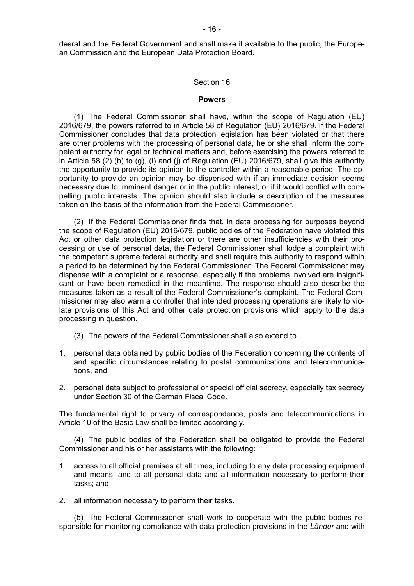desrat and the Federal Government and shall make it available to the public, the European Commission and the European Data Protection Board.

#### Section 16

#### **Powers**

(1) The Federal Commissioner shall have, within the scope of Regulation (EU) 2016/679, the powers referred to in Article 58 of Regulation (EU) 2016/679. If the Federal Commissioner concludes that data protection legislation has been violated or that there are other problems with the processing of personal data, he or she shall inform the competent authority for legal or technical matters and, before exercising the powers referred to in Article 58 (2) (b) to (g), (i) and (j) of Regulation (EU) 2016/679, shall give this authority the opportunity to provide its opinion to the controller within a reasonable period. The opportunity to provide an opinion may be dispensed with if an immediate decision seems necessary due to imminent danger or in the public interest, or if it would conflict with compelling public interests. The opinion should also include a description of the measures taken on the basis of the information from the Federal Commissioner.

(2) If the Federal Commissioner finds that, in data processing for purposes beyond the scope of Regulation (EU) 2016/679, public bodies of the Federation have violated this Act or other data protection legislation or there are other insufficiencies with their processing or use of personal data, the Federal Commissioner shall lodge a complaint with the competent supreme federal authority and shall require this authority to respond within a period to be determined by the Federal Commissioner. The Federal Commissioner may dispense with a complaint or a response, especially if the problems involved are insignificant or have been remedied in the meantime. The response should also describe the measures taken as a result of the Federal Commissioner's complaint. The Federal Commissioner may also warn a controller that intended processing operations are likely to violate provisions of this Act and other data protection provisions which apply to the data processing in question.

- (3) The powers of the Federal Commissioner shall also extend to
- 1. personal data obtained by public bodies of the Federation concerning the contents of and specific circumstances relating to postal communications and telecommunications, and
- 2. personal data subject to professional or special official secrecy, especially tax secrecy under Section 30 of the German Fiscal Code.

The fundamental right to privacy of correspondence, posts and telecommunications in Article 10 of the Basic Law shall be limited accordingly.

(4) The public bodies of the Federation shall be obligated to provide the Federal Commissioner and his or her assistants with the following:

- 1. access to all official premises at all times, including to any data processing equipment and means, and to all personal data and all information necessary to perform their tasks; and
- 2. all information necessary to perform their tasks.

(5) The Federal Commissioner shall work to cooperate with the public bodies responsible for monitoring compliance with data protection provisions in the *Länder* and with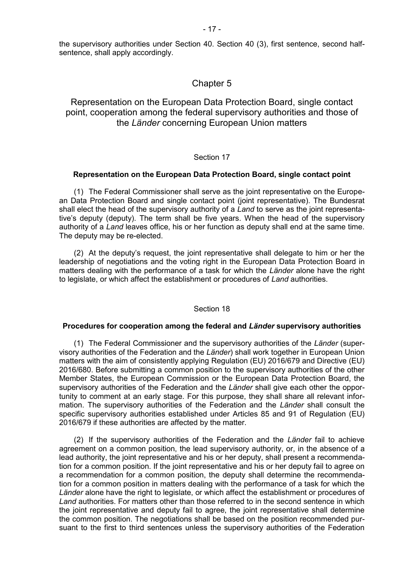the supervisory authorities under Section 40. Section 40 (3), first sentence, second halfsentence, shall apply accordingly.

### Chapter 5

### Representation on the European Data Protection Board, single contact point, cooperation among the federal supervisory authorities and those of the *Länder* concerning European Union matters

#### Section 17

#### **Representation on the European Data Protection Board, single contact point**

(1) The Federal Commissioner shall serve as the joint representative on the European Data Protection Board and single contact point (joint representative). The Bundesrat shall elect the head of the supervisory authority of a *Land* to serve as the joint representative's deputy (deputy). The term shall be five years. When the head of the supervisory authority of a *Land* leaves office, his or her function as deputy shall end at the same time. The deputy may be re-elected.

(2) At the deputy's request, the joint representative shall delegate to him or her the leadership of negotiations and the voting right in the European Data Protection Board in matters dealing with the performance of a task for which the *Länder* alone have the right to legislate, or which affect the establishment or procedures of *Land* authorities.

#### Section 18

#### **Procedures for cooperation among the federal and** *Länder* **supervisory authorities**

(1) The Federal Commissioner and the supervisory authorities of the *Länder* (supervisory authorities of the Federation and the *Länder*) shall work together in European Union matters with the aim of consistently applying Regulation (EU) 2016/679 and Directive (EU) 2016/680. Before submitting a common position to the supervisory authorities of the other Member States, the European Commission or the European Data Protection Board, the supervisory authorities of the Federation and the *Länder* shall give each other the opportunity to comment at an early stage. For this purpose, they shall share all relevant information. The supervisory authorities of the Federation and the *Länder* shall consult the specific supervisory authorities established under Articles 85 and 91 of Regulation (EU) 2016/679 if these authorities are affected by the matter.

(2) If the supervisory authorities of the Federation and the *Länder* fail to achieve agreement on a common position, the lead supervisory authority, or, in the absence of a lead authority, the joint representative and his or her deputy, shall present a recommendation for a common position. If the joint representative and his or her deputy fail to agree on a recommendation for a common position, the deputy shall determine the recommendation for a common position in matters dealing with the performance of a task for which the *Länder* alone have the right to legislate, or which affect the establishment or procedures of *Land* authorities. For matters other than those referred to in the second sentence in which the joint representative and deputy fail to agree, the joint representative shall determine the common position. The negotiations shall be based on the position recommended pursuant to the first to third sentences unless the supervisory authorities of the Federation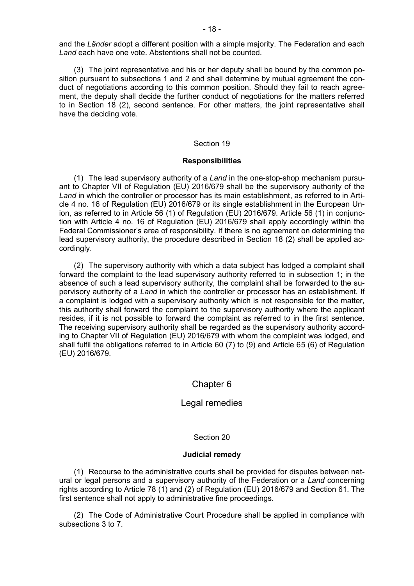and the *Länder* adopt a different position with a simple majority. The Federation and each *Land* each have one vote. Abstentions shall not be counted.

(3) The joint representative and his or her deputy shall be bound by the common position pursuant to subsections 1 and 2 and shall determine by mutual agreement the conduct of negotiations according to this common position. Should they fail to reach agreement, the deputy shall decide the further conduct of negotiations for the matters referred to in Section 18 (2), second sentence. For other matters, the joint representative shall have the deciding vote.

#### Section 19

#### **Responsibilities**

(1) The lead supervisory authority of a *Land* in the one-stop-shop mechanism pursuant to Chapter VII of Regulation (EU) 2016/679 shall be the supervisory authority of the *Land* in which the controller or processor has its main establishment, as referred to in Article 4 no. 16 of Regulation (EU) 2016/679 or its single establishment in the European Union, as referred to in Article 56 (1) of Regulation (EU) 2016/679. Article 56 (1) in conjunction with Article 4 no. 16 of Regulation (EU) 2016/679 shall apply accordingly within the Federal Commissioner's area of responsibility. If there is no agreement on determining the lead supervisory authority, the procedure described in Section 18 (2) shall be applied accordingly.

(2) The supervisory authority with which a data subject has lodged a complaint shall forward the complaint to the lead supervisory authority referred to in subsection 1; in the absence of such a lead supervisory authority, the complaint shall be forwarded to the supervisory authority of a *Land* in which the controller or processor has an establishment. If a complaint is lodged with a supervisory authority which is not responsible for the matter, this authority shall forward the complaint to the supervisory authority where the applicant resides, if it is not possible to forward the complaint as referred to in the first sentence. The receiving supervisory authority shall be regarded as the supervisory authority according to Chapter VII of Regulation (EU) 2016/679 with whom the complaint was lodged, and shall fulfil the obligations referred to in Article 60 (7) to (9) and Article 65 (6) of Regulation (EU) 2016/679.

### Chapter 6

### Legal remedies

### Section 20

### **Judicial remedy**

(1) Recourse to the administrative courts shall be provided for disputes between natural or legal persons and a supervisory authority of the Federation or a *Land* concerning rights according to Article 78 (1) and (2) of Regulation (EU) 2016/679 and Section 61. The first sentence shall not apply to administrative fine proceedings.

(2) The Code of Administrative Court Procedure shall be applied in compliance with subsections 3 to 7.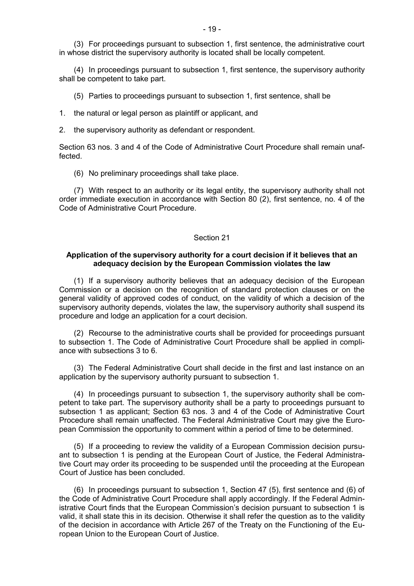(3) For proceedings pursuant to subsection 1, first sentence, the administrative court in whose district the supervisory authority is located shall be locally competent.

(4) In proceedings pursuant to subsection 1, first sentence, the supervisory authority shall be competent to take part.

(5) Parties to proceedings pursuant to subsection 1, first sentence, shall be

- 1. the natural or legal person as plaintiff or applicant, and
- 2. the supervisory authority as defendant or respondent.

Section 63 nos. 3 and 4 of the Code of Administrative Court Procedure shall remain unaffected.

(6) No preliminary proceedings shall take place.

(7) With respect to an authority or its legal entity, the supervisory authority shall not order immediate execution in accordance with Section 80 (2), first sentence, no. 4 of the Code of Administrative Court Procedure.

#### Section 21

### **Application of the supervisory authority for a court decision if it believes that an adequacy decision by the European Commission violates the law**

(1) If a supervisory authority believes that an adequacy decision of the European Commission or a decision on the recognition of standard protection clauses or on the general validity of approved codes of conduct, on the validity of which a decision of the supervisory authority depends, violates the law, the supervisory authority shall suspend its procedure and lodge an application for a court decision.

(2) Recourse to the administrative courts shall be provided for proceedings pursuant to subsection 1. The Code of Administrative Court Procedure shall be applied in compliance with subsections 3 to 6.

(3) The Federal Administrative Court shall decide in the first and last instance on an application by the supervisory authority pursuant to subsection 1.

(4) In proceedings pursuant to subsection 1, the supervisory authority shall be competent to take part. The supervisory authority shall be a party to proceedings pursuant to subsection 1 as applicant; Section 63 nos. 3 and 4 of the Code of Administrative Court Procedure shall remain unaffected. The Federal Administrative Court may give the European Commission the opportunity to comment within a period of time to be determined.

(5) If a proceeding to review the validity of a European Commission decision pursuant to subsection 1 is pending at the European Court of Justice, the Federal Administrative Court may order its proceeding to be suspended until the proceeding at the European Court of Justice has been concluded.

(6) In proceedings pursuant to subsection 1, Section 47 (5), first sentence and (6) of the Code of Administrative Court Procedure shall apply accordingly. If the Federal Administrative Court finds that the European Commission's decision pursuant to subsection 1 is valid, it shall state this in its decision. Otherwise it shall refer the question as to the validity of the decision in accordance with Article 267 of the Treaty on the Functioning of the European Union to the European Court of Justice.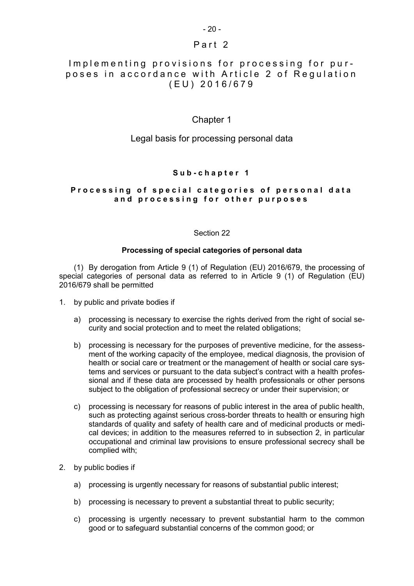### Part 2

### Implementing provisions for processing for purposes in accordance with Article 2 of Requlation ( E U ) 2 0 1 6 / 6 7 9

### Chapter 1

### Legal basis for processing personal data

### **S u b - c h a p t e r 1**

### Processing of special categories of personal data **a n d p r o c e s s i n g f o r o t h e r p u r p o s e s**

### Section 22

#### **Processing of special categories of personal data**

(1) By derogation from Article 9 (1) of Regulation (EU) 2016/679, the processing of special categories of personal data as referred to in Article 9 (1) of Regulation (EU) 2016/679 shall be permitted

- 1. by public and private bodies if
	- a) processing is necessary to exercise the rights derived from the right of social security and social protection and to meet the related obligations;
	- b) processing is necessary for the purposes of preventive medicine, for the assessment of the working capacity of the employee, medical diagnosis, the provision of health or social care or treatment or the management of health or social care systems and services or pursuant to the data subject's contract with a health professional and if these data are processed by health professionals or other persons subject to the obligation of professional secrecy or under their supervision; or
	- c) processing is necessary for reasons of public interest in the area of public health, such as protecting against serious cross-border threats to health or ensuring high standards of quality and safety of health care and of medicinal products or medical devices; in addition to the measures referred to in subsection 2, in particular occupational and criminal law provisions to ensure professional secrecy shall be complied with;
- 2. by public bodies if
	- a) processing is urgently necessary for reasons of substantial public interest;
	- b) processing is necessary to prevent a substantial threat to public security;
	- c) processing is urgently necessary to prevent substantial harm to the common good or to safeguard substantial concerns of the common good; or

### $-20-$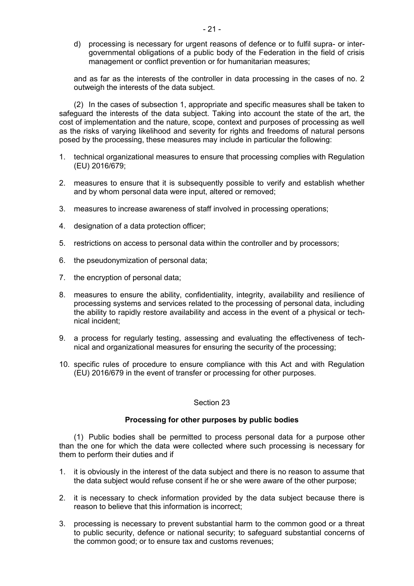d) processing is necessary for urgent reasons of defence or to fulfil supra- or intergovernmental obligations of a public body of the Federation in the field of crisis management or conflict prevention or for humanitarian measures;

and as far as the interests of the controller in data processing in the cases of no. 2 outweigh the interests of the data subject.

(2) In the cases of subsection 1, appropriate and specific measures shall be taken to safeguard the interests of the data subject. Taking into account the state of the art, the cost of implementation and the nature, scope, context and purposes of processing as well as the risks of varying likelihood and severity for rights and freedoms of natural persons posed by the processing, these measures may include in particular the following:

- 1. technical organizational measures to ensure that processing complies with Regulation (EU) 2016/679;
- 2. measures to ensure that it is subsequently possible to verify and establish whether and by whom personal data were input, altered or removed;
- 3. measures to increase awareness of staff involved in processing operations;
- 4. designation of a data protection officer;
- 5. restrictions on access to personal data within the controller and by processors;
- 6. the pseudonymization of personal data;
- 7. the encryption of personal data;
- 8. measures to ensure the ability, confidentiality, integrity, availability and resilience of processing systems and services related to the processing of personal data, including the ability to rapidly restore availability and access in the event of a physical or technical incident;
- 9. a process for regularly testing, assessing and evaluating the effectiveness of technical and organizational measures for ensuring the security of the processing;
- 10. specific rules of procedure to ensure compliance with this Act and with Regulation (EU) 2016/679 in the event of transfer or processing for other purposes.

### Section 23

### **Processing for other purposes by public bodies**

(1) Public bodies shall be permitted to process personal data for a purpose other than the one for which the data were collected where such processing is necessary for them to perform their duties and if

- 1. it is obviously in the interest of the data subject and there is no reason to assume that the data subject would refuse consent if he or she were aware of the other purpose;
- 2. it is necessary to check information provided by the data subject because there is reason to believe that this information is incorrect;
- 3. processing is necessary to prevent substantial harm to the common good or a threat to public security, defence or national security; to safeguard substantial concerns of the common good; or to ensure tax and customs revenues;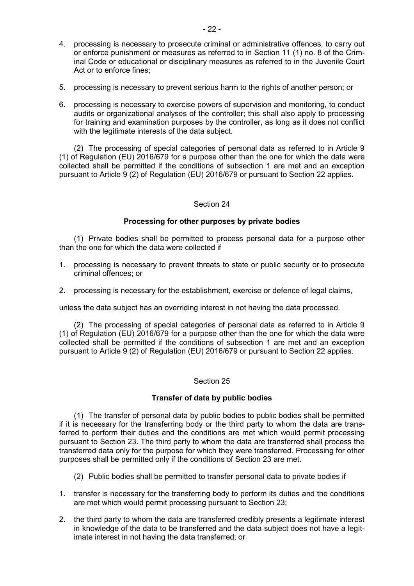- 4. processing is necessary to prosecute criminal or administrative offences, to carry out or enforce punishment or measures as referred to in Section 11 (1) no. 8 of the Criminal Code or educational or disciplinary measures as referred to in the Juvenile Court Act or to enforce fines;
- 5. processing is necessary to prevent serious harm to the rights of another person; or
- 6. processing is necessary to exercise powers of supervision and monitoring, to conduct audits or organizational analyses of the controller; this shall also apply to processing for training and examination purposes by the controller, as long as it does not conflict with the legitimate interests of the data subject.

(2) The processing of special categories of personal data as referred to in Article 9 (1) of Regulation (EU) 2016/679 for a purpose other than the one for which the data were collected shall be permitted if the conditions of subsection 1 are met and an exception pursuant to Article 9 (2) of Regulation (EU) 2016/679 or pursuant to Section 22 applies.

### Section 24

### **Processing for other purposes by private bodies**

(1) Private bodies shall be permitted to process personal data for a purpose other than the one for which the data were collected if

- 1. processing is necessary to prevent threats to state or public security or to prosecute criminal offences; or
- 2. processing is necessary for the establishment, exercise or defence of legal claims,

unless the data subject has an overriding interest in not having the data processed.

(2) The processing of special categories of personal data as referred to in Article 9 (1) of Regulation (EU) 2016/679 for a purpose other than the one for which the data were collected shall be permitted if the conditions of subsection 1 are met and an exception pursuant to Article 9 (2) of Regulation (EU) 2016/679 or pursuant to Section 22 applies.

### Section 25

### **Transfer of data by public bodies**

(1) The transfer of personal data by public bodies to public bodies shall be permitted if it is necessary for the transferring body or the third party to whom the data are transferred to perform their duties and the conditions are met which would permit processing pursuant to Section 23. The third party to whom the data are transferred shall process the transferred data only for the purpose for which they were transferred. Processing for other purposes shall be permitted only if the conditions of Section 23 are met.

- (2) Public bodies shall be permitted to transfer personal data to private bodies if
- 1. transfer is necessary for the transferring body to perform its duties and the conditions are met which would permit processing pursuant to Section 23;
- 2. the third party to whom the data are transferred credibly presents a legitimate interest in knowledge of the data to be transferred and the data subject does not have a legitimate interest in not having the data transferred; or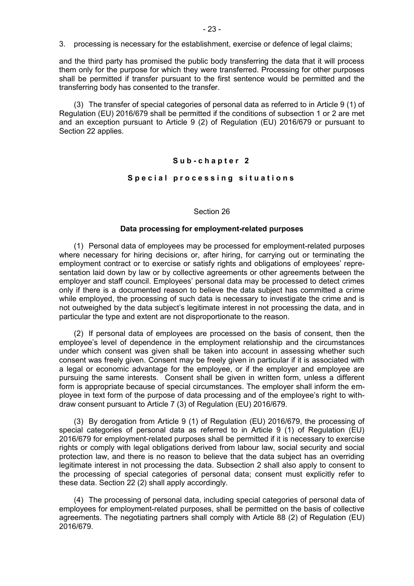and the third party has promised the public body transferring the data that it will process them only for the purpose for which they were transferred. Processing for other purposes shall be permitted if transfer pursuant to the first sentence would be permitted and the transferring body has consented to the transfer.

(3) The transfer of special categories of personal data as referred to in Article 9 (1) of Regulation (EU) 2016/679 shall be permitted if the conditions of subsection 1 or 2 are met and an exception pursuant to Article 9 (2) of Regulation (EU) 2016/679 or pursuant to Section 22 applies.

### **S u b - c h a p t e r 2**

#### **S p e c i a l p r o c e s s i n g s i t u a t i o n s**

#### Section 26

### **Data processing for employment-related purposes**

(1) Personal data of employees may be processed for employment-related purposes where necessary for hiring decisions or, after hiring, for carrying out or terminating the employment contract or to exercise or satisfy rights and obligations of employees' representation laid down by law or by collective agreements or other agreements between the employer and staff council. Employees' personal data may be processed to detect crimes only if there is a documented reason to believe the data subject has committed a crime while employed, the processing of such data is necessary to investigate the crime and is not outweighed by the data subject's legitimate interest in not processing the data, and in particular the type and extent are not disproportionate to the reason.

(2) If personal data of employees are processed on the basis of consent, then the employee's level of dependence in the employment relationship and the circumstances under which consent was given shall be taken into account in assessing whether such consent was freely given. Consent may be freely given in particular if it is associated with a legal or economic advantage for the employee, or if the employer and employee are pursuing the same interests. Consent shall be given in written form, unless a different form is appropriate because of special circumstances. The employer shall inform the employee in text form of the purpose of data processing and of the employee's right to withdraw consent pursuant to Article 7 (3) of Regulation (EU) 2016/679.

(3) By derogation from Article 9 (1) of Regulation (EU) 2016/679, the processing of special categories of personal data as referred to in Article 9 (1) of Regulation (EU) 2016/679 for employment-related purposes shall be permitted if it is necessary to exercise rights or comply with legal obligations derived from labour law, social security and social protection law, and there is no reason to believe that the data subject has an overriding legitimate interest in not processing the data. Subsection 2 shall also apply to consent to the processing of special categories of personal data; consent must explicitly refer to these data. Section 22 (2) shall apply accordingly.

(4) The processing of personal data, including special categories of personal data of employees for employment-related purposes, shall be permitted on the basis of collective agreements. The negotiating partners shall comply with Article 88 (2) of Regulation (EU) 2016/679.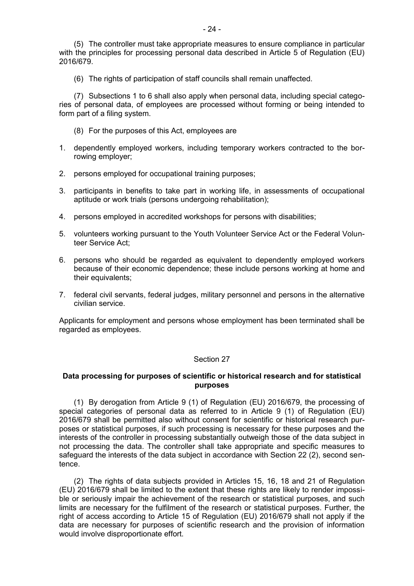(5) The controller must take appropriate measures to ensure compliance in particular with the principles for processing personal data described in Article 5 of Regulation (EU) 2016/679.

(6) The rights of participation of staff councils shall remain unaffected.

(7) Subsections 1 to 6 shall also apply when personal data, including special categories of personal data, of employees are processed without forming or being intended to form part of a filing system.

- (8) For the purposes of this Act, employees are
- 1. dependently employed workers, including temporary workers contracted to the borrowing employer;
- 2. persons employed for occupational training purposes;
- 3. participants in benefits to take part in working life, in assessments of occupational aptitude or work trials (persons undergoing rehabilitation);
- 4. persons employed in accredited workshops for persons with disabilities;
- 5. volunteers working pursuant to the Youth Volunteer Service Act or the Federal Volunteer Service Act;
- 6. persons who should be regarded as equivalent to dependently employed workers because of their economic dependence; these include persons working at home and their equivalents;
- 7. federal civil servants, federal judges, military personnel and persons in the alternative civilian service.

Applicants for employment and persons whose employment has been terminated shall be regarded as employees.

#### Section 27

### **Data processing for purposes of scientific or historical research and for statistical purposes**

(1) By derogation from Article 9 (1) of Regulation (EU) 2016/679, the processing of special categories of personal data as referred to in Article 9 (1) of Regulation (EU) 2016/679 shall be permitted also without consent for scientific or historical research purposes or statistical purposes, if such processing is necessary for these purposes and the interests of the controller in processing substantially outweigh those of the data subject in not processing the data. The controller shall take appropriate and specific measures to safeguard the interests of the data subject in accordance with Section 22 (2), second sentence.

(2) The rights of data subjects provided in Articles 15, 16, 18 and 21 of Regulation (EU) 2016/679 shall be limited to the extent that these rights are likely to render impossible or seriously impair the achievement of the research or statistical purposes, and such limits are necessary for the fulfilment of the research or statistical purposes. Further, the right of access according to Article 15 of Regulation (EU) 2016/679 shall not apply if the data are necessary for purposes of scientific research and the provision of information would involve disproportionate effort.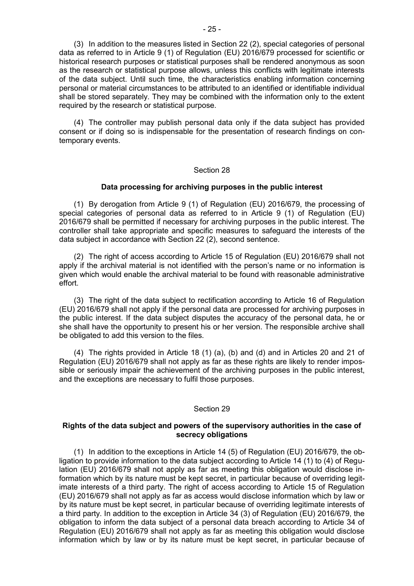(3) In addition to the measures listed in Section 22 (2), special categories of personal data as referred to in Article 9 (1) of Regulation (EU) 2016/679 processed for scientific or historical research purposes or statistical purposes shall be rendered anonymous as soon as the research or statistical purpose allows, unless this conflicts with legitimate interests of the data subject. Until such time, the characteristics enabling information concerning personal or material circumstances to be attributed to an identified or identifiable individual shall be stored separately. They may be combined with the information only to the extent required by the research or statistical purpose.

(4) The controller may publish personal data only if the data subject has provided consent or if doing so is indispensable for the presentation of research findings on contemporary events.

#### Section 28

#### **Data processing for archiving purposes in the public interest**

(1) By derogation from Article 9 (1) of Regulation (EU) 2016/679, the processing of special categories of personal data as referred to in Article 9 (1) of Regulation (EU) 2016/679 shall be permitted if necessary for archiving purposes in the public interest. The controller shall take appropriate and specific measures to safeguard the interests of the data subject in accordance with Section 22 (2), second sentence.

(2) The right of access according to Article 15 of Regulation (EU) 2016/679 shall not apply if the archival material is not identified with the person's name or no information is given which would enable the archival material to be found with reasonable administrative effort.

(3) The right of the data subject to rectification according to Article 16 of Regulation (EU) 2016/679 shall not apply if the personal data are processed for archiving purposes in the public interest. If the data subject disputes the accuracy of the personal data, he or she shall have the opportunity to present his or her version. The responsible archive shall be obligated to add this version to the files.

(4) The rights provided in Article 18 (1) (a), (b) and (d) and in Articles 20 and 21 of Regulation (EU) 2016/679 shall not apply as far as these rights are likely to render impossible or seriously impair the achievement of the archiving purposes in the public interest, and the exceptions are necessary to fulfil those purposes.

#### Section 29

### **Rights of the data subject and powers of the supervisory authorities in the case of secrecy obligations**

(1) In addition to the exceptions in Article 14 (5) of Regulation (EU) 2016/679, the obligation to provide information to the data subject according to Article 14 (1) to (4) of Regulation (EU) 2016/679 shall not apply as far as meeting this obligation would disclose information which by its nature must be kept secret, in particular because of overriding legitimate interests of a third party. The right of access according to Article 15 of Regulation (EU) 2016/679 shall not apply as far as access would disclose information which by law or by its nature must be kept secret, in particular because of overriding legitimate interests of a third party. In addition to the exception in Article 34 (3) of Regulation (EU) 2016/679, the obligation to inform the data subject of a personal data breach according to Article 34 of Regulation (EU) 2016/679 shall not apply as far as meeting this obligation would disclose information which by law or by its nature must be kept secret, in particular because of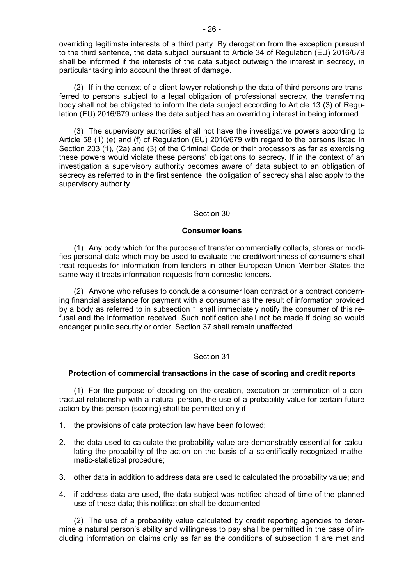overriding legitimate interests of a third party. By derogation from the exception pursuant to the third sentence, the data subject pursuant to Article 34 of Regulation (EU) 2016/679 shall be informed if the interests of the data subject outweigh the interest in secrecy, in particular taking into account the threat of damage.

(2) If in the context of a client-lawyer relationship the data of third persons are transferred to persons subject to a legal obligation of professional secrecy, the transferring body shall not be obligated to inform the data subject according to Article 13 (3) of Regulation (EU) 2016/679 unless the data subject has an overriding interest in being informed.

(3) The supervisory authorities shall not have the investigative powers according to Article 58 (1) (e) and (f) of Regulation (EU) 2016/679 with regard to the persons listed in Section 203 (1), (2a) and (3) of the Criminal Code or their processors as far as exercising these powers would violate these persons' obligations to secrecy. If in the context of an investigation a supervisory authority becomes aware of data subject to an obligation of secrecy as referred to in the first sentence, the obligation of secrecy shall also apply to the supervisory authority.

#### Section 30

#### **Consumer loans**

(1) Any body which for the purpose of transfer commercially collects, stores or modifies personal data which may be used to evaluate the creditworthiness of consumers shall treat requests for information from lenders in other European Union Member States the same way it treats information requests from domestic lenders.

(2) Anyone who refuses to conclude a consumer loan contract or a contract concerning financial assistance for payment with a consumer as the result of information provided by a body as referred to in subsection 1 shall immediately notify the consumer of this refusal and the information received. Such notification shall not be made if doing so would endanger public security or order. Section 37 shall remain unaffected.

### Section 31

### **Protection of commercial transactions in the case of scoring and credit reports**

(1) For the purpose of deciding on the creation, execution or termination of a contractual relationship with a natural person, the use of a probability value for certain future action by this person (scoring) shall be permitted only if

- 1. the provisions of data protection law have been followed;
- 2. the data used to calculate the probability value are demonstrably essential for calculating the probability of the action on the basis of a scientifically recognized mathematic-statistical procedure;
- 3. other data in addition to address data are used to calculated the probability value; and
- 4. if address data are used, the data subject was notified ahead of time of the planned use of these data; this notification shall be documented.

(2) The use of a probability value calculated by credit reporting agencies to determine a natural person's ability and willingness to pay shall be permitted in the case of including information on claims only as far as the conditions of subsection 1 are met and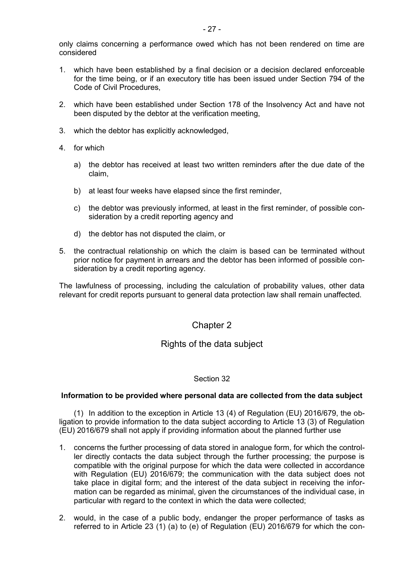- 1. which have been established by a final decision or a decision declared enforceable for the time being, or if an executory title has been issued under Section 794 of the Code of Civil Procedures,
- 2. which have been established under Section 178 of the Insolvency Act and have not been disputed by the debtor at the verification meeting,
- 3. which the debtor has explicitly acknowledged,
- 4. for which
	- a) the debtor has received at least two written reminders after the due date of the claim,
	- b) at least four weeks have elapsed since the first reminder,
	- c) the debtor was previously informed, at least in the first reminder, of possible consideration by a credit reporting agency and
	- d) the debtor has not disputed the claim, or
- 5. the contractual relationship on which the claim is based can be terminated without prior notice for payment in arrears and the debtor has been informed of possible consideration by a credit reporting agency.

The lawfulness of processing, including the calculation of probability values, other data relevant for credit reports pursuant to general data protection law shall remain unaffected.

# Chapter 2

# Rights of the data subject

### Section 32

### **Information to be provided where personal data are collected from the data subject**

(1) In addition to the exception in Article 13 (4) of Regulation (EU) 2016/679, the obligation to provide information to the data subject according to Article 13 (3) of Regulation (EU) 2016/679 shall not apply if providing information about the planned further use

- 1. concerns the further processing of data stored in analogue form, for which the controller directly contacts the data subject through the further processing; the purpose is compatible with the original purpose for which the data were collected in accordance with Regulation (EU) 2016/679; the communication with the data subject does not take place in digital form; and the interest of the data subject in receiving the information can be regarded as minimal, given the circumstances of the individual case, in particular with regard to the context in which the data were collected;
- 2. would, in the case of a public body, endanger the proper performance of tasks as referred to in Article 23 (1) (a) to (e) of Regulation (EU) 2016/679 for which the con-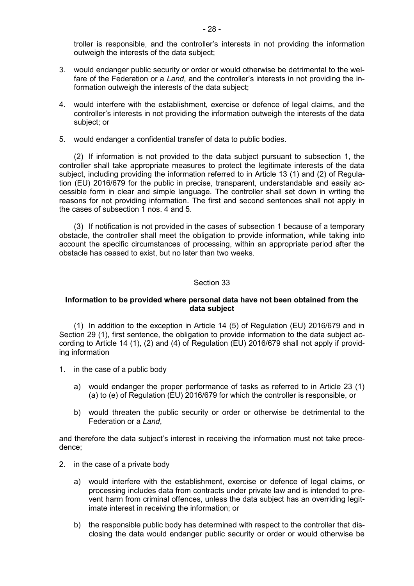troller is responsible, and the controller's interests in not providing the information outweigh the interests of the data subject;

- 3. would endanger public security or order or would otherwise be detrimental to the welfare of the Federation or a *Land*, and the controller's interests in not providing the information outweigh the interests of the data subject;
- 4. would interfere with the establishment, exercise or defence of legal claims, and the controller's interests in not providing the information outweigh the interests of the data subject; or
- 5. would endanger a confidential transfer of data to public bodies.

(2) If information is not provided to the data subject pursuant to subsection 1, the controller shall take appropriate measures to protect the legitimate interests of the data subject, including providing the information referred to in Article 13 (1) and (2) of Regulation (EU) 2016/679 for the public in precise, transparent, understandable and easily accessible form in clear and simple language. The controller shall set down in writing the reasons for not providing information. The first and second sentences shall not apply in the cases of subsection 1 nos. 4 and 5.

(3) If notification is not provided in the cases of subsection 1 because of a temporary obstacle, the controller shall meet the obligation to provide information, while taking into account the specific circumstances of processing, within an appropriate period after the obstacle has ceased to exist, but no later than two weeks.

#### Section 33

### **Information to be provided where personal data have not been obtained from the data subject**

(1) In addition to the exception in Article 14 (5) of Regulation (EU) 2016/679 and in Section 29 (1), first sentence, the obligation to provide information to the data subject according to Article 14 (1), (2) and (4) of Regulation (EU) 2016/679 shall not apply if providing information

- 1. in the case of a public body
	- a) would endanger the proper performance of tasks as referred to in Article 23 (1) (a) to (e) of Regulation (EU) 2016/679 for which the controller is responsible, or
	- b) would threaten the public security or order or otherwise be detrimental to the Federation or a *Land*,

and therefore the data subject's interest in receiving the information must not take precedence;

- 2. in the case of a private body
	- a) would interfere with the establishment, exercise or defence of legal claims, or processing includes data from contracts under private law and is intended to prevent harm from criminal offences, unless the data subject has an overriding legitimate interest in receiving the information; or
	- b) the responsible public body has determined with respect to the controller that disclosing the data would endanger public security or order or would otherwise be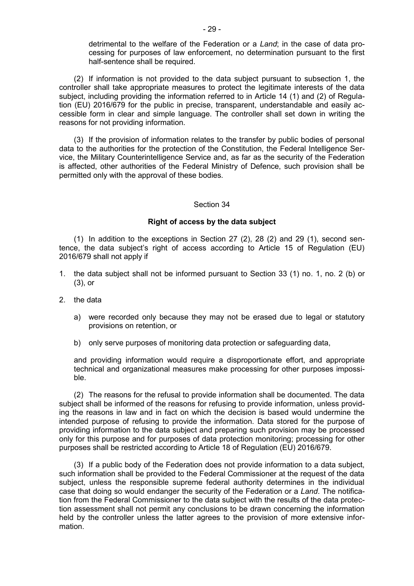detrimental to the welfare of the Federation or a *Land*; in the case of data processing for purposes of law enforcement, no determination pursuant to the first half-sentence shall be required.

(2) If information is not provided to the data subject pursuant to subsection 1, the controller shall take appropriate measures to protect the legitimate interests of the data subject, including providing the information referred to in Article 14 (1) and (2) of Regulation (EU) 2016/679 for the public in precise, transparent, understandable and easily accessible form in clear and simple language. The controller shall set down in writing the reasons for not providing information.

(3) If the provision of information relates to the transfer by public bodies of personal data to the authorities for the protection of the Constitution, the Federal Intelligence Service, the Military Counterintelligence Service and, as far as the security of the Federation is affected, other authorities of the Federal Ministry of Defence, such provision shall be permitted only with the approval of these bodies.

#### Section 34

### **Right of access by the data subject**

(1) In addition to the exceptions in Section 27 (2), 28 (2) and 29 (1), second sentence, the data subject's right of access according to Article 15 of Regulation (EU) 2016/679 shall not apply if

- 1. the data subject shall not be informed pursuant to Section 33 (1) no. 1, no. 2 (b) or (3), or
- 2. the data
	- a) were recorded only because they may not be erased due to legal or statutory provisions on retention, or
	- b) only serve purposes of monitoring data protection or safeguarding data,

and providing information would require a disproportionate effort, and appropriate technical and organizational measures make processing for other purposes impossible.

(2) The reasons for the refusal to provide information shall be documented. The data subject shall be informed of the reasons for refusing to provide information, unless providing the reasons in law and in fact on which the decision is based would undermine the intended purpose of refusing to provide the information. Data stored for the purpose of providing information to the data subject and preparing such provision may be processed only for this purpose and for purposes of data protection monitoring; processing for other purposes shall be restricted according to Article 18 of Regulation (EU) 2016/679.

(3) If a public body of the Federation does not provide information to a data subject, such information shall be provided to the Federal Commissioner at the request of the data subject, unless the responsible supreme federal authority determines in the individual case that doing so would endanger the security of the Federation or a *Land*. The notification from the Federal Commissioner to the data subject with the results of the data protection assessment shall not permit any conclusions to be drawn concerning the information held by the controller unless the latter agrees to the provision of more extensive information.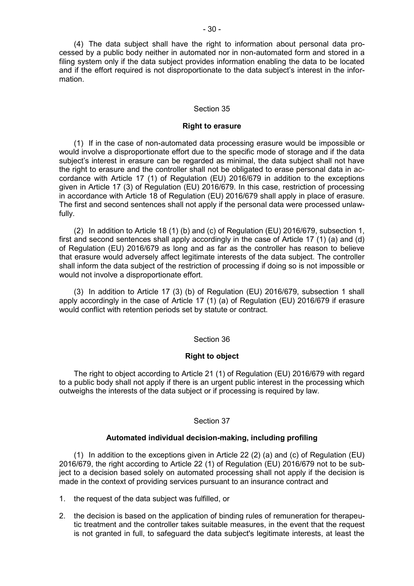(4) The data subject shall have the right to information about personal data processed by a public body neither in automated nor in non-automated form and stored in a filing system only if the data subject provides information enabling the data to be located and if the effort required is not disproportionate to the data subject's interest in the information.

### Section 35

#### **Right to erasure**

(1) If in the case of non-automated data processing erasure would be impossible or would involve a disproportionate effort due to the specific mode of storage and if the data subject's interest in erasure can be regarded as minimal, the data subject shall not have the right to erasure and the controller shall not be obligated to erase personal data in accordance with Article 17 (1) of Regulation (EU) 2016/679 in addition to the exceptions given in Article 17 (3) of Regulation (EU) 2016/679. In this case, restriction of processing in accordance with Article 18 of Regulation (EU) 2016/679 shall apply in place of erasure. The first and second sentences shall not apply if the personal data were processed unlawfully.

(2) In addition to Article 18 (1) (b) and (c) of Regulation (EU) 2016/679, subsection 1, first and second sentences shall apply accordingly in the case of Article 17 (1) (a) and (d) of Regulation (EU) 2016/679 as long and as far as the controller has reason to believe that erasure would adversely affect legitimate interests of the data subject. The controller shall inform the data subject of the restriction of processing if doing so is not impossible or would not involve a disproportionate effort.

(3) In addition to Article 17 (3) (b) of Regulation (EU) 2016/679, subsection 1 shall apply accordingly in the case of Article 17 (1) (a) of Regulation (EU) 2016/679 if erasure would conflict with retention periods set by statute or contract.

#### Section 36

#### **Right to object**

The right to object according to Article 21 (1) of Regulation (EU) 2016/679 with regard to a public body shall not apply if there is an urgent public interest in the processing which outweighs the interests of the data subject or if processing is required by law.

### Section 37

#### **Automated individual decision-making, including profiling**

(1) In addition to the exceptions given in Article 22 (2) (a) and (c) of Regulation (EU) 2016/679, the right according to Article 22 (1) of Regulation (EU) 2016/679 not to be subject to a decision based solely on automated processing shall not apply if the decision is made in the context of providing services pursuant to an insurance contract and

1. the request of the data subject was fulfilled, or

2. the decision is based on the application of binding rules of remuneration for therapeutic treatment and the controller takes suitable measures, in the event that the request is not granted in full, to safeguard the data subject's legitimate interests, at least the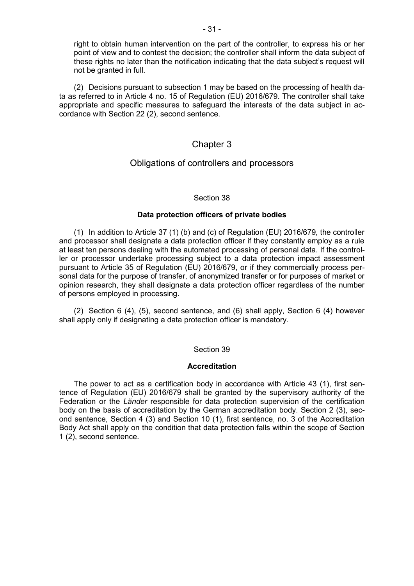right to obtain human intervention on the part of the controller, to express his or her point of view and to contest the decision; the controller shall inform the data subject of these rights no later than the notification indicating that the data subject's request will not be granted in full.

(2) Decisions pursuant to subsection 1 may be based on the processing of health data as referred to in Article 4 no. 15 of Regulation (EU) 2016/679. The controller shall take appropriate and specific measures to safeguard the interests of the data subject in accordance with Section 22 (2), second sentence.

### Chapter 3

### Obligations of controllers and processors

### Section 38

### **Data protection officers of private bodies**

(1) In addition to Article 37 (1) (b) and (c) of Regulation (EU) 2016/679, the controller and processor shall designate a data protection officer if they constantly employ as a rule at least ten persons dealing with the automated processing of personal data. If the controller or processor undertake processing subject to a data protection impact assessment pursuant to Article 35 of Regulation (EU) 2016/679, or if they commercially process personal data for the purpose of transfer, of anonymized transfer or for purposes of market or opinion research, they shall designate a data protection officer regardless of the number of persons employed in processing.

(2) Section 6 (4), (5), second sentence, and (6) shall apply, Section 6 (4) however shall apply only if designating a data protection officer is mandatory.

### Section 39

### **Accreditation**

The power to act as a certification body in accordance with Article 43 (1), first sentence of Regulation (EU) 2016/679 shall be granted by the supervisory authority of the Federation or the *Länder* responsible for data protection supervision of the certification body on the basis of accreditation by the German accreditation body. Section 2 (3), second sentence, Section 4 (3) and Section 10 (1), first sentence, no. 3 of the Accreditation Body Act shall apply on the condition that data protection falls within the scope of Section 1 (2), second sentence.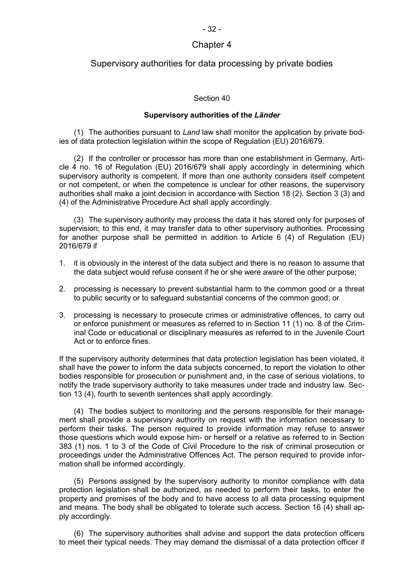### Chapter 4

### Supervisory authorities for data processing by private bodies

### Section 40

### **Supervisory authorities of the** *Länder*

(1) The authorities pursuant to *Land* law shall monitor the application by private bodies of data protection legislation within the scope of Regulation (EU) 2016/679.

(2) If the controller or processor has more than one establishment in Germany, Article 4 no. 16 of Regulation (EU) 2016/679 shall apply accordingly in determining which supervisory authority is competent. If more than one authority considers itself competent or not competent, or when the competence is unclear for other reasons, the supervisory authorities shall make a joint decision in accordance with Section 18 (2). Section 3 (3) and (4) of the Administrative Procedure Act shall apply accordingly.

(3) The supervisory authority may process the data it has stored only for purposes of supervision; to this end, it may transfer data to other supervisory authorities. Processing for another purpose shall be permitted in addition to Article 6 (4) of Regulation (EU) 2016/679 if

- 1. it is obviously in the interest of the data subject and there is no reason to assume that the data subject would refuse consent if he or she were aware of the other purpose;
- 2. processing is necessary to prevent substantial harm to the common good or a threat to public security or to safeguard substantial concerns of the common good; or
- 3. processing is necessary to prosecute crimes or administrative offences, to carry out or enforce punishment or measures as referred to in Section 11 (1) no. 8 of the Criminal Code or educational or disciplinary measures as referred to in the Juvenile Court Act or to enforce fines.

If the supervisory authority determines that data protection legislation has been violated, it shall have the power to inform the data subjects concerned, to report the violation to other bodies responsible for prosecution or punishment and, in the case of serious violations, to notify the trade supervisory authority to take measures under trade and industry law. Section 13 (4), fourth to seventh sentences shall apply accordingly.

(4) The bodies subject to monitoring and the persons responsible for their management shall provide a supervisory authority on request with the information necessary to perform their tasks. The person required to provide information may refuse to answer those questions which would expose him- or herself or a relative as referred to in Section 383 (1) nos. 1 to 3 of the Code of Civil Procedure to the risk of criminal prosecution or proceedings under the Administrative Offences Act. The person required to provide information shall be informed accordingly.

(5) Persons assigned by the supervisory authority to monitor compliance with data protection legislation shall be authorized, as needed to perform their tasks, to enter the property and premises of the body and to have access to all data processing equipment and means. The body shall be obligated to tolerate such access. Section 16 (4) shall apply accordingly.

(6) The supervisory authorities shall advise and support the data protection officers to meet their typical needs. They may demand the dismissal of a data protection officer if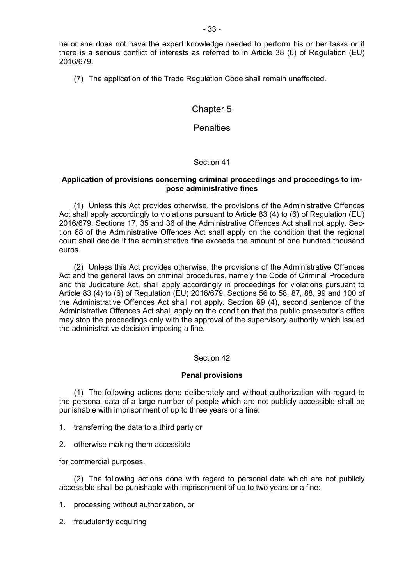he or she does not have the expert knowledge needed to perform his or her tasks or if there is a serious conflict of interests as referred to in Article 38 (6) of Regulation (EU) 2016/679.

(7) The application of the Trade Regulation Code shall remain unaffected.

### Chapter 5

### **Penalties**

### Section 41

### **Application of provisions concerning criminal proceedings and proceedings to impose administrative fines**

(1) Unless this Act provides otherwise, the provisions of the Administrative Offences Act shall apply accordingly to violations pursuant to Article 83 (4) to (6) of Regulation (EU) 2016/679. Sections 17, 35 and 36 of the Administrative Offences Act shall not apply. Section 68 of the Administrative Offences Act shall apply on the condition that the regional court shall decide if the administrative fine exceeds the amount of one hundred thousand euros.

(2) Unless this Act provides otherwise, the provisions of the Administrative Offences Act and the general laws on criminal procedures, namely the Code of Criminal Procedure and the Judicature Act, shall apply accordingly in proceedings for violations pursuant to Article 83 (4) to (6) of Regulation (EU) 2016/679. Sections 56 to 58, 87, 88, 99 and 100 of the Administrative Offences Act shall not apply. Section 69 (4), second sentence of the Administrative Offences Act shall apply on the condition that the public prosecutor's office may stop the proceedings only with the approval of the supervisory authority which issued the administrative decision imposing a fine.

#### Section 42

#### **Penal provisions**

(1) The following actions done deliberately and without authorization with regard to the personal data of a large number of people which are not publicly accessible shall be punishable with imprisonment of up to three years or a fine:

- 1. transferring the data to a third party or
- 2. otherwise making them accessible

for commercial purposes.

(2) The following actions done with regard to personal data which are not publicly accessible shall be punishable with imprisonment of up to two years or a fine:

- 1. processing without authorization, or
- 2. fraudulently acquiring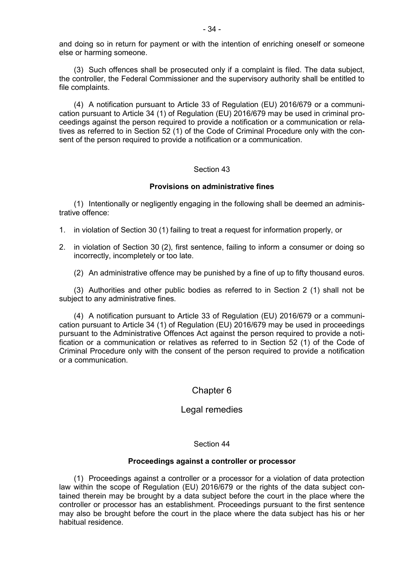and doing so in return for payment or with the intention of enriching oneself or someone else or harming someone.

(3) Such offences shall be prosecuted only if a complaint is filed. The data subject, the controller, the Federal Commissioner and the supervisory authority shall be entitled to file complaints.

(4) A notification pursuant to Article 33 of Regulation (EU) 2016/679 or a communication pursuant to Article 34 (1) of Regulation (EU) 2016/679 may be used in criminal proceedings against the person required to provide a notification or a communication or relatives as referred to in Section 52 (1) of the Code of Criminal Procedure only with the consent of the person required to provide a notification or a communication.

#### Section 43

### **Provisions on administrative fines**

(1) Intentionally or negligently engaging in the following shall be deemed an administrative offence:

- 1. in violation of Section 30 (1) failing to treat a request for information properly, or
- 2. in violation of Section 30 (2), first sentence, failing to inform a consumer or doing so incorrectly, incompletely or too late.

(2) An administrative offence may be punished by a fine of up to fifty thousand euros.

(3) Authorities and other public bodies as referred to in Section 2 (1) shall not be subject to any administrative fines.

(4) A notification pursuant to Article 33 of Regulation (EU) 2016/679 or a communication pursuant to Article 34 (1) of Regulation (EU) 2016/679 may be used in proceedings pursuant to the Administrative Offences Act against the person required to provide a notification or a communication or relatives as referred to in Section 52 (1) of the Code of Criminal Procedure only with the consent of the person required to provide a notification or a communication.

### Chapter 6

### Legal remedies

#### Section 44

#### **Proceedings against a controller or processor**

(1) Proceedings against a controller or a processor for a violation of data protection law within the scope of Regulation (EU) 2016/679 or the rights of the data subject contained therein may be brought by a data subject before the court in the place where the controller or processor has an establishment. Proceedings pursuant to the first sentence may also be brought before the court in the place where the data subject has his or her habitual residence.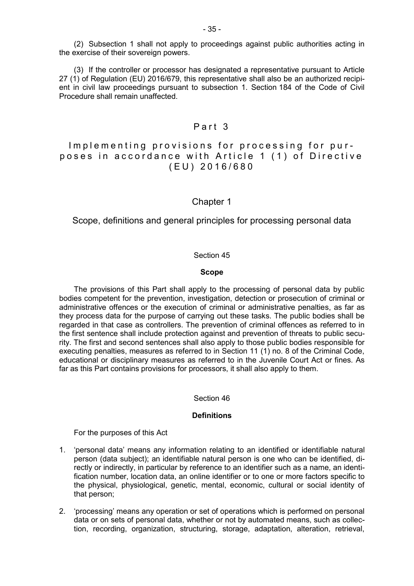(2) Subsection 1 shall not apply to proceedings against public authorities acting in the exercise of their sovereign powers.

(3) If the controller or processor has designated a representative pursuant to Article 27 (1) of Regulation (EU) 2016/679, this representative shall also be an authorized recipient in civil law proceedings pursuant to subsection 1. Section 184 of the Code of Civil Procedure shall remain unaffected.

## Part 3

### Implementing provisions for processing for purposes in accordance with Article 1 (1) of Directive ( E U ) 2 0 1 6 / 6 8 0

### Chapter 1

Scope, definitions and general principles for processing personal data

### Section 45

### **Scope**

The provisions of this Part shall apply to the processing of personal data by public bodies competent for the prevention, investigation, detection or prosecution of criminal or administrative offences or the execution of criminal or administrative penalties, as far as they process data for the purpose of carrying out these tasks. The public bodies shall be regarded in that case as controllers. The prevention of criminal offences as referred to in the first sentence shall include protection against and prevention of threats to public security. The first and second sentences shall also apply to those public bodies responsible for executing penalties, measures as referred to in Section 11 (1) no. 8 of the Criminal Code, educational or disciplinary measures as referred to in the Juvenile Court Act or fines. As far as this Part contains provisions for processors, it shall also apply to them.

#### Section 46

### **Definitions**

For the purposes of this Act

- 1. 'personal data' means any information relating to an identified or identifiable natural person (data subject); an identifiable natural person is one who can be identified, directly or indirectly, in particular by reference to an identifier such as a name, an identification number, location data, an online identifier or to one or more factors specific to the physical, physiological, genetic, mental, economic, cultural or social identity of that person;
- 2. 'processing' means any operation or set of operations which is performed on personal data or on sets of personal data, whether or not by automated means, such as collection, recording, organization, structuring, storage, adaptation, alteration, retrieval,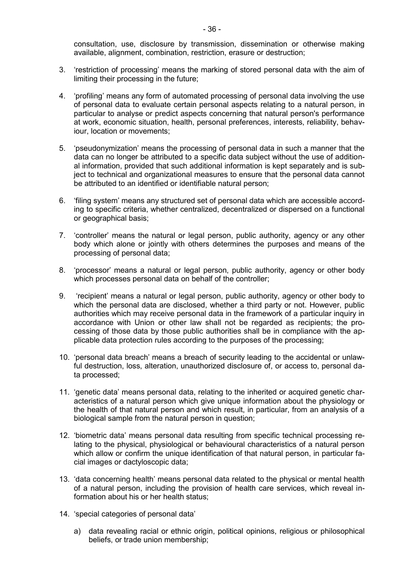consultation, use, disclosure by transmission, dissemination or otherwise making available, alignment, combination, restriction, erasure or destruction;

- 3. 'restriction of processing' means the marking of stored personal data with the aim of limiting their processing in the future;
- 4. 'profiling' means any form of automated processing of personal data involving the use of personal data to evaluate certain personal aspects relating to a natural person, in particular to analyse or predict aspects concerning that natural person's performance at work, economic situation, health, personal preferences, interests, reliability, behaviour, location or movements;
- 5. 'pseudonymization' means the processing of personal data in such a manner that the data can no longer be attributed to a specific data subject without the use of additional information, provided that such additional information is kept separately and is subject to technical and organizational measures to ensure that the personal data cannot be attributed to an identified or identifiable natural person;
- 6. 'filing system' means any structured set of personal data which are accessible according to specific criteria, whether centralized, decentralized or dispersed on a functional or geographical basis;
- 7. 'controller' means the natural or legal person, public authority, agency or any other body which alone or jointly with others determines the purposes and means of the processing of personal data;
- 8. 'processor' means a natural or legal person, public authority, agency or other body which processes personal data on behalf of the controller;
- 9. 'recipient' means a natural or legal person, public authority, agency or other body to which the personal data are disclosed, whether a third party or not. However, public authorities which may receive personal data in the framework of a particular inquiry in accordance with Union or other law shall not be regarded as recipients; the processing of those data by those public authorities shall be in compliance with the applicable data protection rules according to the purposes of the processing;
- 10. 'personal data breach' means a breach of security leading to the accidental or unlawful destruction, loss, alteration, unauthorized disclosure of, or access to, personal data processed;
- 11. 'genetic data' means personal data, relating to the inherited or acquired genetic characteristics of a natural person which give unique information about the physiology or the health of that natural person and which result, in particular, from an analysis of a biological sample from the natural person in question;
- 12. 'biometric data' means personal data resulting from specific technical processing relating to the physical, physiological or behavioural characteristics of a natural person which allow or confirm the unique identification of that natural person, in particular facial images or dactyloscopic data;
- 13. 'data concerning health' means personal data related to the physical or mental health of a natural person, including the provision of health care services, which reveal information about his or her health status;
- 14. 'special categories of personal data'
	- a) data revealing racial or ethnic origin, political opinions, religious or philosophical beliefs, or trade union membership;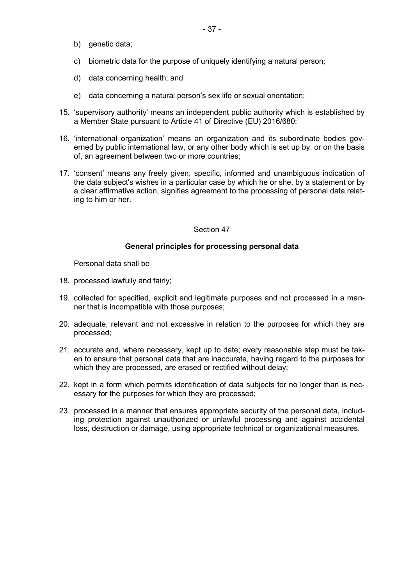- b) genetic data;
- c) biometric data for the purpose of uniquely identifying a natural person;
- d) data concerning health; and
- e) data concerning a natural person's sex life or sexual orientation;
- 15. 'supervisory authority' means an independent public authority which is established by a Member State pursuant to Article 41 of Directive (EU) 2016/680;
- 16. 'international organization' means an organization and its subordinate bodies governed by public international law, or any other body which is set up by, or on the basis of, an agreement between two or more countries;
- 17. 'consent' means any freely given, specific, informed and unambiguous indication of the data subject's wishes in a particular case by which he or she, by a statement or by a clear affirmative action, signifies agreement to the processing of personal data relating to him or her.

### Section 47

### **General principles for processing personal data**

Personal data shall be

- 18. processed lawfully and fairly;
- 19. collected for specified, explicit and legitimate purposes and not processed in a manner that is incompatible with those purposes;
- 20. adequate, relevant and not excessive in relation to the purposes for which they are processed;
- 21. accurate and, where necessary, kept up to date; every reasonable step must be taken to ensure that personal data that are inaccurate, having regard to the purposes for which they are processed, are erased or rectified without delay;
- 22. kept in a form which permits identification of data subjects for no longer than is necessary for the purposes for which they are processed;
- 23. processed in a manner that ensures appropriate security of the personal data, including protection against unauthorized or unlawful processing and against accidental loss, destruction or damage, using appropriate technical or organizational measures.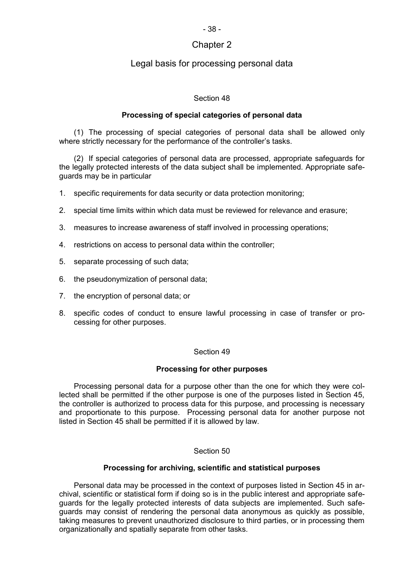# Chapter 2

### Legal basis for processing personal data

### Section 48

### **Processing of special categories of personal data**

(1) The processing of special categories of personal data shall be allowed only where strictly necessary for the performance of the controller's tasks.

(2) If special categories of personal data are processed, appropriate safeguards for the legally protected interests of the data subject shall be implemented. Appropriate safeguards may be in particular

1. specific requirements for data security or data protection monitoring;

- 2. special time limits within which data must be reviewed for relevance and erasure;
- 3. measures to increase awareness of staff involved in processing operations;
- 4. restrictions on access to personal data within the controller;
- 5. separate processing of such data;
- 6. the pseudonymization of personal data;
- 7. the encryption of personal data; or
- 8. specific codes of conduct to ensure lawful processing in case of transfer or processing for other purposes.

### Section 49

### **Processing for other purposes**

Processing personal data for a purpose other than the one for which they were collected shall be permitted if the other purpose is one of the purposes listed in Section 45, the controller is authorized to process data for this purpose, and processing is necessary and proportionate to this purpose. Processing personal data for another purpose not listed in Section 45 shall be permitted if it is allowed by law.

### Section 50

### **Processing for archiving, scientific and statistical purposes**

Personal data may be processed in the context of purposes listed in Section 45 in archival, scientific or statistical form if doing so is in the public interest and appropriate safeguards for the legally protected interests of data subjects are implemented. Such safeguards may consist of rendering the personal data anonymous as quickly as possible, taking measures to prevent unauthorized disclosure to third parties, or in processing them organizationally and spatially separate from other tasks.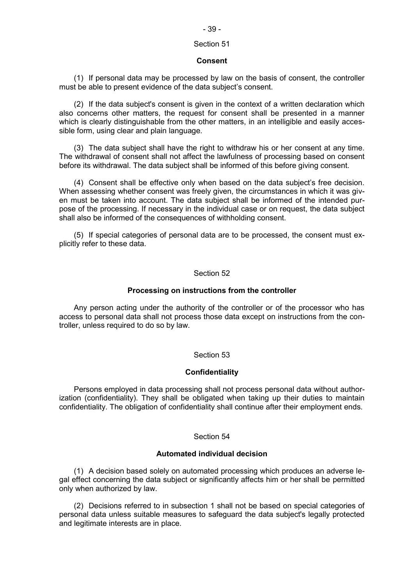# - 39 -

# Section 51

### **Consent**

(1) If personal data may be processed by law on the basis of consent, the controller must be able to present evidence of the data subject's consent.

(2) If the data subject's consent is given in the context of a written declaration which also concerns other matters, the request for consent shall be presented in a manner which is clearly distinguishable from the other matters, in an intelligible and easily accessible form, using clear and plain language.

(3) The data subject shall have the right to withdraw his or her consent at any time. The withdrawal of consent shall not affect the lawfulness of processing based on consent before its withdrawal. The data subject shall be informed of this before giving consent.

(4) Consent shall be effective only when based on the data subject's free decision. When assessing whether consent was freely given, the circumstances in which it was given must be taken into account. The data subject shall be informed of the intended purpose of the processing. If necessary in the individual case or on request, the data subject shall also be informed of the consequences of withholding consent.

(5) If special categories of personal data are to be processed, the consent must explicitly refer to these data.

### Section 52

### **Processing on instructions from the controller**

Any person acting under the authority of the controller or of the processor who has access to personal data shall not process those data except on instructions from the controller, unless required to do so by law.

### Section 53

### **Confidentiality**

Persons employed in data processing shall not process personal data without authorization (confidentiality). They shall be obligated when taking up their duties to maintain confidentiality. The obligation of confidentiality shall continue after their employment ends.

### Section 54

### **Automated individual decision**

(1) A decision based solely on automated processing which produces an adverse legal effect concerning the data subject or significantly affects him or her shall be permitted only when authorized by law.

(2) Decisions referred to in subsection 1 shall not be based on special categories of personal data unless suitable measures to safeguard the data subject's legally protected and legitimate interests are in place.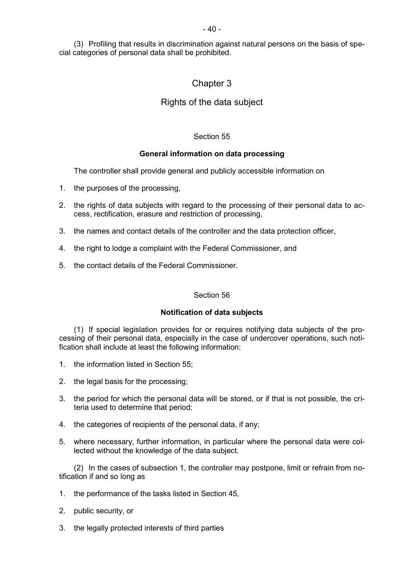(3) Profiling that results in discrimination against natural persons on the basis of special categories of personal data shall be prohibited.

# Chapter 3

# Rights of the data subject

### Section 55

### **General information on data processing**

The controller shall provide general and publicly accessible information on

- 1. the purposes of the processing,
- 2. the rights of data subjects with regard to the processing of their personal data to access, rectification, erasure and restriction of processing,
- 3. the names and contact details of the controller and the data protection officer,
- 4. the right to lodge a complaint with the Federal Commissioner, and
- 5. the contact details of the Federal Commissioner.

### Section 56

### **Notification of data subjects**

(1) If special legislation provides for or requires notifying data subjects of the processing of their personal data, especially in the case of undercover operations, such notification shall include at least the following information:

- 1. the information listed in Section 55;
- 2. the legal basis for the processing;
- 3. the period for which the personal data will be stored, or if that is not possible, the criteria used to determine that period;
- 4. the categories of recipients of the personal data, if any;
- 5. where necessary, further information, in particular where the personal data were collected without the knowledge of the data subject.

(2) In the cases of subsection 1, the controller may postpone, limit or refrain from notification if and so long as

- 1. the performance of the tasks listed in Section 45,
- 2. public security, or
- 3. the legally protected interests of third parties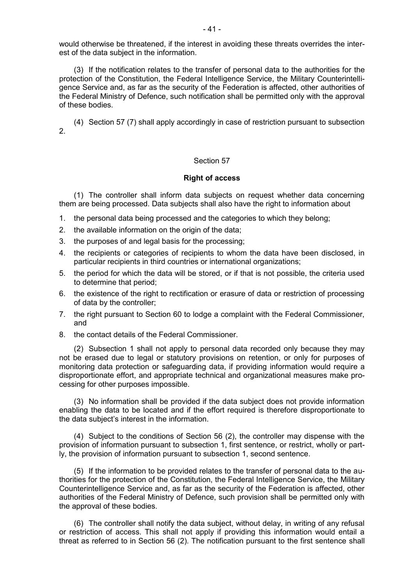would otherwise be threatened, if the interest in avoiding these threats overrides the interest of the data subject in the information.

(3) If the notification relates to the transfer of personal data to the authorities for the protection of the Constitution, the Federal Intelligence Service, the Military Counterintelligence Service and, as far as the security of the Federation is affected, other authorities of the Federal Ministry of Defence, such notification shall be permitted only with the approval of these bodies.

(4) Section 57 (7) shall apply accordingly in case of restriction pursuant to subsection  $\mathcal{P}$ 

### Section 57

#### **Right of access**

(1) The controller shall inform data subjects on request whether data concerning them are being processed. Data subjects shall also have the right to information about

- 1. the personal data being processed and the categories to which they belong;
- 2. the available information on the origin of the data;
- 3. the purposes of and legal basis for the processing;
- 4. the recipients or categories of recipients to whom the data have been disclosed, in particular recipients in third countries or international organizations;
- 5. the period for which the data will be stored, or if that is not possible, the criteria used to determine that period;
- 6. the existence of the right to rectification or erasure of data or restriction of processing of data by the controller;
- 7. the right pursuant to Section 60 to lodge a complaint with the Federal Commissioner, and
- 8. the contact details of the Federal Commissioner.

(2) Subsection 1 shall not apply to personal data recorded only because they may not be erased due to legal or statutory provisions on retention, or only for purposes of monitoring data protection or safeguarding data, if providing information would require a disproportionate effort, and appropriate technical and organizational measures make processing for other purposes impossible.

(3) No information shall be provided if the data subject does not provide information enabling the data to be located and if the effort required is therefore disproportionate to the data subject's interest in the information.

(4) Subject to the conditions of Section 56 (2), the controller may dispense with the provision of information pursuant to subsection 1, first sentence, or restrict, wholly or partly, the provision of information pursuant to subsection 1, second sentence.

(5) If the information to be provided relates to the transfer of personal data to the authorities for the protection of the Constitution, the Federal Intelligence Service, the Military Counterintelligence Service and, as far as the security of the Federation is affected, other authorities of the Federal Ministry of Defence, such provision shall be permitted only with the approval of these bodies.

(6) The controller shall notify the data subject, without delay, in writing of any refusal or restriction of access. This shall not apply if providing this information would entail a threat as referred to in Section 56 (2). The notification pursuant to the first sentence shall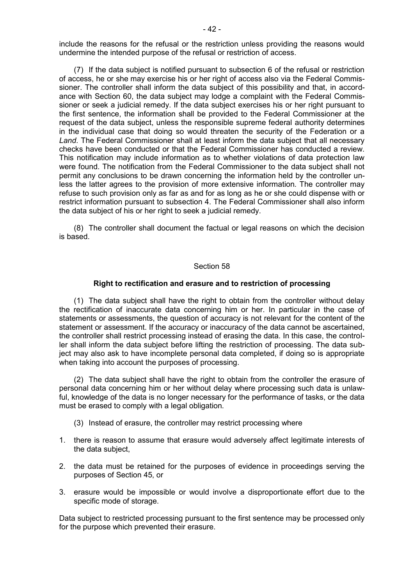include the reasons for the refusal or the restriction unless providing the reasons would undermine the intended purpose of the refusal or restriction of access.

(7) If the data subject is notified pursuant to subsection 6 of the refusal or restriction of access, he or she may exercise his or her right of access also via the Federal Commissioner. The controller shall inform the data subject of this possibility and that, in accordance with Section 60, the data subject may lodge a complaint with the Federal Commissioner or seek a judicial remedy. If the data subject exercises his or her right pursuant to the first sentence, the information shall be provided to the Federal Commissioner at the request of the data subject, unless the responsible supreme federal authority determines in the individual case that doing so would threaten the security of the Federation or a *Land*. The Federal Commissioner shall at least inform the data subject that all necessary checks have been conducted or that the Federal Commissioner has conducted a review. This notification may include information as to whether violations of data protection law were found. The notification from the Federal Commissioner to the data subject shall not permit any conclusions to be drawn concerning the information held by the controller unless the latter agrees to the provision of more extensive information. The controller may refuse to such provision only as far as and for as long as he or she could dispense with or restrict information pursuant to subsection 4. The Federal Commissioner shall also inform the data subject of his or her right to seek a judicial remedy.

(8) The controller shall document the factual or legal reasons on which the decision is based.

#### Section 58

#### **Right to rectification and erasure and to restriction of processing**

(1) The data subject shall have the right to obtain from the controller without delay the rectification of inaccurate data concerning him or her. In particular in the case of statements or assessments, the question of accuracy is not relevant for the content of the statement or assessment. If the accuracy or inaccuracy of the data cannot be ascertained, the controller shall restrict processing instead of erasing the data. In this case, the controller shall inform the data subject before lifting the restriction of processing. The data subject may also ask to have incomplete personal data completed, if doing so is appropriate when taking into account the purposes of processing.

(2) The data subject shall have the right to obtain from the controller the erasure of personal data concerning him or her without delay where processing such data is unlawful, knowledge of the data is no longer necessary for the performance of tasks, or the data must be erased to comply with a legal obligation.

- (3) Instead of erasure, the controller may restrict processing where
- 1. there is reason to assume that erasure would adversely affect legitimate interests of the data subject,
- 2. the data must be retained for the purposes of evidence in proceedings serving the purposes of Section 45, or
- 3. erasure would be impossible or would involve a disproportionate effort due to the specific mode of storage.

Data subject to restricted processing pursuant to the first sentence may be processed only for the purpose which prevented their erasure.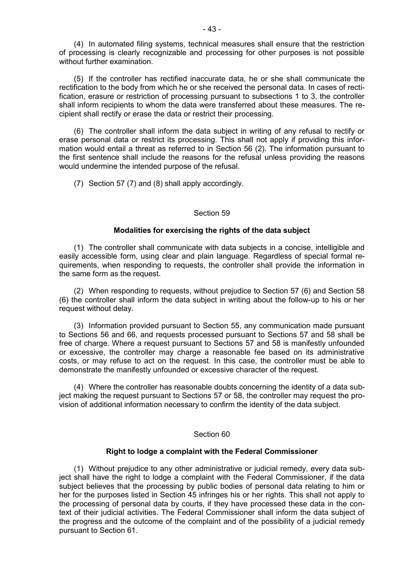(4) In automated filing systems, technical measures shall ensure that the restriction of processing is clearly recognizable and processing for other purposes is not possible without further examination.

(5) If the controller has rectified inaccurate data, he or she shall communicate the rectification to the body from which he or she received the personal data. In cases of rectification, erasure or restriction of processing pursuant to subsections 1 to 3, the controller shall inform recipients to whom the data were transferred about these measures. The recipient shall rectify or erase the data or restrict their processing.

(6) The controller shall inform the data subject in writing of any refusal to rectify or erase personal data or restrict its processing. This shall not apply if providing this information would entail a threat as referred to in Section 56 (2). The information pursuant to the first sentence shall include the reasons for the refusal unless providing the reasons would undermine the intended purpose of the refusal.

(7) Section 57 (7) and (8) shall apply accordingly.

#### Section 59

#### **Modalities for exercising the rights of the data subject**

(1) The controller shall communicate with data subjects in a concise, intelligible and easily accessible form, using clear and plain language. Regardless of special formal requirements, when responding to requests, the controller shall provide the information in the same form as the request.

(2) When responding to requests, without prejudice to Section 57 (6) and Section 58 (6) the controller shall inform the data subject in writing about the follow-up to his or her request without delay.

(3) Information provided pursuant to Section 55, any communication made pursuant to Sections 56 and 66, and requests processed pursuant to Sections 57 and 58 shall be free of charge. Where a request pursuant to Sections 57 and 58 is manifestly unfounded or excessive, the controller may charge a reasonable fee based on its administrative costs, or may refuse to act on the request. In this case, the controller must be able to demonstrate the manifestly unfounded or excessive character of the request.

(4) Where the controller has reasonable doubts concerning the identity of a data subject making the request pursuant to Sections 57 or 58, the controller may request the provision of additional information necessary to confirm the identity of the data subject.

#### Section 60

#### **Right to lodge a complaint with the Federal Commissioner**

(1) Without prejudice to any other administrative or judicial remedy, every data subject shall have the right to lodge a complaint with the Federal Commissioner, if the data subject believes that the processing by public bodies of personal data relating to him or her for the purposes listed in Section 45 infringes his or her rights. This shall not apply to the processing of personal data by courts, if they have processed these data in the context of their judicial activities. The Federal Commissioner shall inform the data subject of the progress and the outcome of the complaint and of the possibility of a judicial remedy pursuant to Section 61.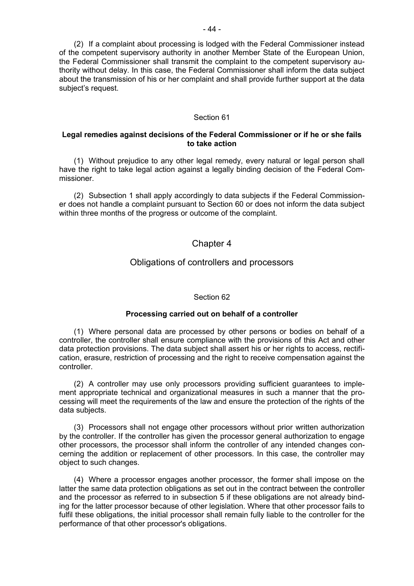(2) If a complaint about processing is lodged with the Federal Commissioner instead of the competent supervisory authority in another Member State of the European Union, the Federal Commissioner shall transmit the complaint to the competent supervisory authority without delay. In this case, the Federal Commissioner shall inform the data subject about the transmission of his or her complaint and shall provide further support at the data subject's request.

### Section 61

### **Legal remedies against decisions of the Federal Commissioner or if he or she fails to take action**

(1) Without prejudice to any other legal remedy, every natural or legal person shall have the right to take legal action against a legally binding decision of the Federal Commissioner.

(2) Subsection 1 shall apply accordingly to data subjects if the Federal Commissioner does not handle a complaint pursuant to Section 60 or does not inform the data subject within three months of the progress or outcome of the complaint.

### Chapter 4

### Obligations of controllers and processors

### Section 62

### **Processing carried out on behalf of a controller**

(1) Where personal data are processed by other persons or bodies on behalf of a controller, the controller shall ensure compliance with the provisions of this Act and other data protection provisions. The data subject shall assert his or her rights to access, rectification, erasure, restriction of processing and the right to receive compensation against the controller.

(2) A controller may use only processors providing sufficient guarantees to implement appropriate technical and organizational measures in such a manner that the processing will meet the requirements of the law and ensure the protection of the rights of the data subjects.

(3) Processors shall not engage other processors without prior written authorization by the controller. If the controller has given the processor general authorization to engage other processors, the processor shall inform the controller of any intended changes concerning the addition or replacement of other processors. In this case, the controller may object to such changes.

(4) Where a processor engages another processor, the former shall impose on the latter the same data protection obligations as set out in the contract between the controller and the processor as referred to in subsection 5 if these obligations are not already binding for the latter processor because of other legislation. Where that other processor fails to fulfil these obligations, the initial processor shall remain fully liable to the controller for the performance of that other processor's obligations.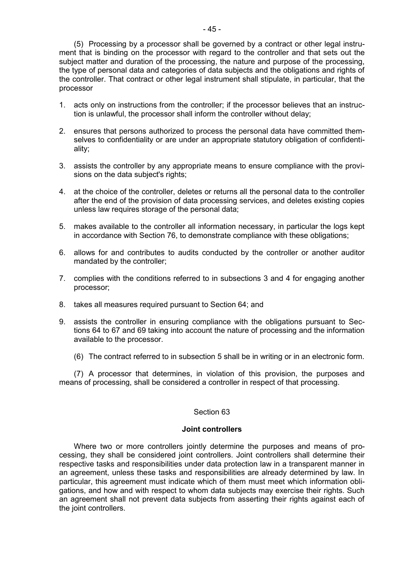(5) Processing by a processor shall be governed by a contract or other legal instrument that is binding on the processor with regard to the controller and that sets out the subject matter and duration of the processing, the nature and purpose of the processing, the type of personal data and categories of data subjects and the obligations and rights of the controller. That contract or other legal instrument shall stipulate, in particular, that the processor

- 1. acts only on instructions from the controller; if the processor believes that an instruction is unlawful, the processor shall inform the controller without delay;
- 2. ensures that persons authorized to process the personal data have committed themselves to confidentiality or are under an appropriate statutory obligation of confidentiality;
- 3. assists the controller by any appropriate means to ensure compliance with the provisions on the data subject's rights;
- 4. at the choice of the controller, deletes or returns all the personal data to the controller after the end of the provision of data processing services, and deletes existing copies unless law requires storage of the personal data;
- 5. makes available to the controller all information necessary, in particular the logs kept in accordance with Section 76, to demonstrate compliance with these obligations;
- 6. allows for and contributes to audits conducted by the controller or another auditor mandated by the controller;
- 7. complies with the conditions referred to in subsections 3 and 4 for engaging another processor;
- 8. takes all measures required pursuant to Section 64; and
- 9. assists the controller in ensuring compliance with the obligations pursuant to Sections 64 to 67 and 69 taking into account the nature of processing and the information available to the processor.
	- (6) The contract referred to in subsection 5 shall be in writing or in an electronic form.

(7) A processor that determines, in violation of this provision, the purposes and means of processing, shall be considered a controller in respect of that processing.

### Section 63

#### **Joint controllers**

Where two or more controllers jointly determine the purposes and means of processing, they shall be considered joint controllers. Joint controllers shall determine their respective tasks and responsibilities under data protection law in a transparent manner in an agreement, unless these tasks and responsibilities are already determined by law. In particular, this agreement must indicate which of them must meet which information obligations, and how and with respect to whom data subjects may exercise their rights. Such an agreement shall not prevent data subjects from asserting their rights against each of the joint controllers.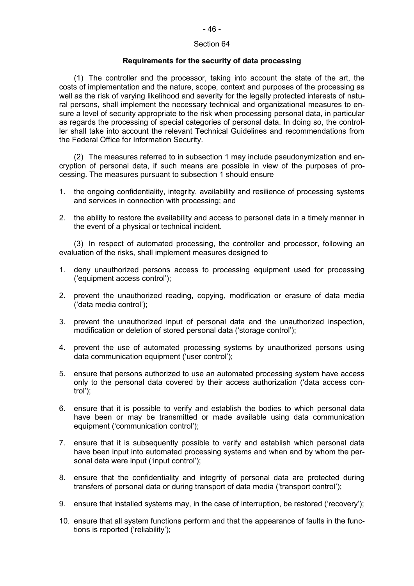#### Section 64

#### **Requirements for the security of data processing**

(1) The controller and the processor, taking into account the state of the art, the costs of implementation and the nature, scope, context and purposes of the processing as well as the risk of varying likelihood and severity for the legally protected interests of natural persons, shall implement the necessary technical and organizational measures to ensure a level of security appropriate to the risk when processing personal data, in particular as regards the processing of special categories of personal data. In doing so, the controller shall take into account the relevant Technical Guidelines and recommendations from the Federal Office for Information Security.

(2) The measures referred to in subsection 1 may include pseudonymization and encryption of personal data, if such means are possible in view of the purposes of processing. The measures pursuant to subsection 1 should ensure

- 1. the ongoing confidentiality, integrity, availability and resilience of processing systems and services in connection with processing; and
- 2. the ability to restore the availability and access to personal data in a timely manner in the event of a physical or technical incident.

(3) In respect of automated processing, the controller and processor, following an evaluation of the risks, shall implement measures designed to

- 1. deny unauthorized persons access to processing equipment used for processing ('equipment access control');
- 2. prevent the unauthorized reading, copying, modification or erasure of data media ('data media control');
- 3. prevent the unauthorized input of personal data and the unauthorized inspection, modification or deletion of stored personal data ('storage control');
- 4. prevent the use of automated processing systems by unauthorized persons using data communication equipment ('user control');
- 5. ensure that persons authorized to use an automated processing system have access only to the personal data covered by their access authorization ('data access control');
- 6. ensure that it is possible to verify and establish the bodies to which personal data have been or may be transmitted or made available using data communication equipment ('communication control');
- 7. ensure that it is subsequently possible to verify and establish which personal data have been input into automated processing systems and when and by whom the personal data were input ('input control');
- 8. ensure that the confidentiality and integrity of personal data are protected during transfers of personal data or during transport of data media ('transport control');
- 9. ensure that installed systems may, in the case of interruption, be restored ('recovery');
- 10. ensure that all system functions perform and that the appearance of faults in the functions is reported ('reliability');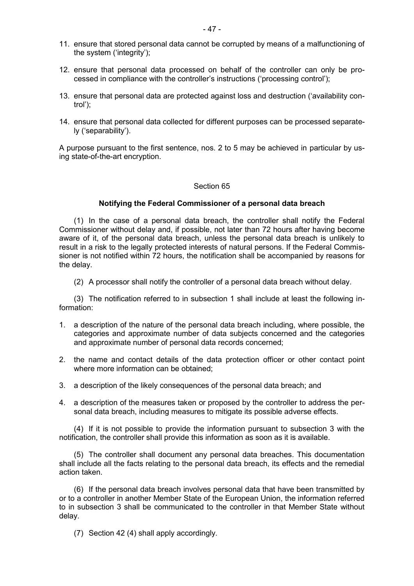- 11. ensure that stored personal data cannot be corrupted by means of a malfunctioning of the system ('integrity');
- 12. ensure that personal data processed on behalf of the controller can only be processed in compliance with the controller's instructions ('processing control');
- 13. ensure that personal data are protected against loss and destruction ('availability control');
- 14. ensure that personal data collected for different purposes can be processed separately ('separability').

A purpose pursuant to the first sentence, nos. 2 to 5 may be achieved in particular by using state-of-the-art encryption.

#### Section 65

#### **Notifying the Federal Commissioner of a personal data breach**

(1) In the case of a personal data breach, the controller shall notify the Federal Commissioner without delay and, if possible, not later than 72 hours after having become aware of it, of the personal data breach, unless the personal data breach is unlikely to result in a risk to the legally protected interests of natural persons. If the Federal Commissioner is not notified within 72 hours, the notification shall be accompanied by reasons for the delay.

(2) A processor shall notify the controller of a personal data breach without delay.

(3) The notification referred to in subsection 1 shall include at least the following information:

- 1. a description of the nature of the personal data breach including, where possible, the categories and approximate number of data subjects concerned and the categories and approximate number of personal data records concerned;
- 2. the name and contact details of the data protection officer or other contact point where more information can be obtained;
- 3. a description of the likely consequences of the personal data breach; and
- 4. a description of the measures taken or proposed by the controller to address the personal data breach, including measures to mitigate its possible adverse effects.

(4) If it is not possible to provide the information pursuant to subsection 3 with the notification, the controller shall provide this information as soon as it is available.

(5) The controller shall document any personal data breaches. This documentation shall include all the facts relating to the personal data breach, its effects and the remedial action taken.

(6) If the personal data breach involves personal data that have been transmitted by or to a controller in another Member State of the European Union, the information referred to in subsection 3 shall be communicated to the controller in that Member State without delay.

(7) Section 42 (4) shall apply accordingly.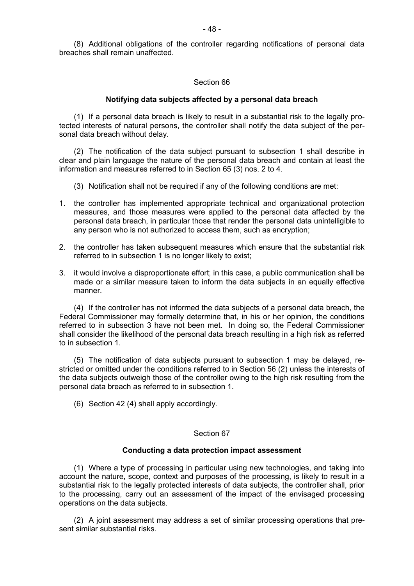### Section 66

### **Notifying data subjects affected by a personal data breach**

(1) If a personal data breach is likely to result in a substantial risk to the legally protected interests of natural persons, the controller shall notify the data subject of the personal data breach without delay.

(2) The notification of the data subject pursuant to subsection 1 shall describe in clear and plain language the nature of the personal data breach and contain at least the information and measures referred to in Section 65 (3) nos. 2 to 4.

- (3) Notification shall not be required if any of the following conditions are met:
- 1. the controller has implemented appropriate technical and organizational protection measures, and those measures were applied to the personal data affected by the personal data breach, in particular those that render the personal data unintelligible to any person who is not authorized to access them, such as encryption;
- 2. the controller has taken subsequent measures which ensure that the substantial risk referred to in subsection 1 is no longer likely to exist;
- 3. it would involve a disproportionate effort; in this case, a public communication shall be made or a similar measure taken to inform the data subjects in an equally effective manner.

(4) If the controller has not informed the data subjects of a personal data breach, the Federal Commissioner may formally determine that, in his or her opinion, the conditions referred to in subsection 3 have not been met. In doing so, the Federal Commissioner shall consider the likelihood of the personal data breach resulting in a high risk as referred to in subsection 1.

(5) The notification of data subjects pursuant to subsection 1 may be delayed, restricted or omitted under the conditions referred to in Section 56 (2) unless the interests of the data subjects outweigh those of the controller owing to the high risk resulting from the personal data breach as referred to in subsection 1.

(6) Section 42 (4) shall apply accordingly.

### Section 67

### **Conducting a data protection impact assessment**

(1) Where a type of processing in particular using new technologies, and taking into account the nature, scope, context and purposes of the processing, is likely to result in a substantial risk to the legally protected interests of data subjects, the controller shall, prior to the processing, carry out an assessment of the impact of the envisaged processing operations on the data subjects.

(2) A joint assessment may address a set of similar processing operations that present similar substantial risks.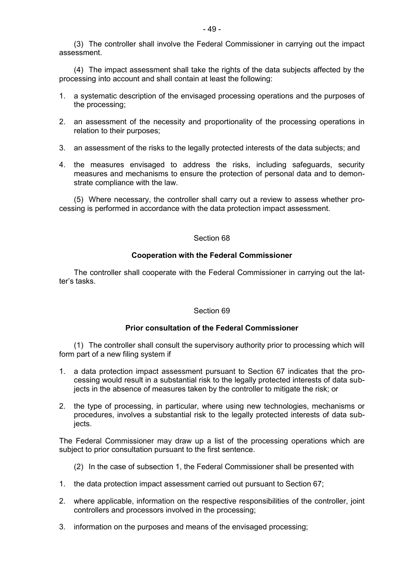(3) The controller shall involve the Federal Commissioner in carrying out the impact assessment.

(4) The impact assessment shall take the rights of the data subjects affected by the processing into account and shall contain at least the following:

- 1. a systematic description of the envisaged processing operations and the purposes of the processing;
- 2. an assessment of the necessity and proportionality of the processing operations in relation to their purposes;
- 3. an assessment of the risks to the legally protected interests of the data subjects; and
- 4. the measures envisaged to address the risks, including safeguards, security measures and mechanisms to ensure the protection of personal data and to demonstrate compliance with the law.

(5) Where necessary, the controller shall carry out a review to assess whether processing is performed in accordance with the data protection impact assessment.

#### Section 68

### **Cooperation with the Federal Commissioner**

The controller shall cooperate with the Federal Commissioner in carrying out the latter's tasks.

### Section 69

### **Prior consultation of the Federal Commissioner**

(1) The controller shall consult the supervisory authority prior to processing which will form part of a new filing system if

- 1. a data protection impact assessment pursuant to Section 67 indicates that the processing would result in a substantial risk to the legally protected interests of data subjects in the absence of measures taken by the controller to mitigate the risk; or
- 2. the type of processing, in particular, where using new technologies, mechanisms or procedures, involves a substantial risk to the legally protected interests of data subiects.

The Federal Commissioner may draw up a list of the processing operations which are subject to prior consultation pursuant to the first sentence.

- (2) In the case of subsection 1, the Federal Commissioner shall be presented with
- 1. the data protection impact assessment carried out pursuant to Section 67;
- 2. where applicable, information on the respective responsibilities of the controller, joint controllers and processors involved in the processing;
- 3. information on the purposes and means of the envisaged processing;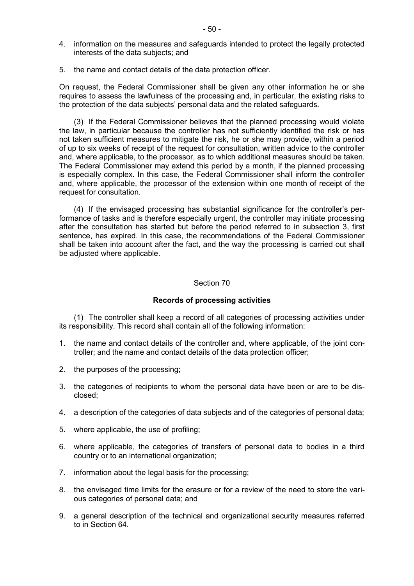- 4. information on the measures and safeguards intended to protect the legally protected interests of the data subjects; and
- 5. the name and contact details of the data protection officer.

On request, the Federal Commissioner shall be given any other information he or she requires to assess the lawfulness of the processing and, in particular, the existing risks to the protection of the data subjects' personal data and the related safeguards.

(3) If the Federal Commissioner believes that the planned processing would violate the law, in particular because the controller has not sufficiently identified the risk or has not taken sufficient measures to mitigate the risk, he or she may provide, within a period of up to six weeks of receipt of the request for consultation, written advice to the controller and, where applicable, to the processor, as to which additional measures should be taken. The Federal Commissioner may extend this period by a month, if the planned processing is especially complex. In this case, the Federal Commissioner shall inform the controller and, where applicable, the processor of the extension within one month of receipt of the request for consultation.

(4) If the envisaged processing has substantial significance for the controller's performance of tasks and is therefore especially urgent, the controller may initiate processing after the consultation has started but before the period referred to in subsection 3, first sentence, has expired. In this case, the recommendations of the Federal Commissioner shall be taken into account after the fact, and the way the processing is carried out shall be adjusted where applicable.

#### Section 70

#### **Records of processing activities**

(1) The controller shall keep a record of all categories of processing activities under its responsibility. This record shall contain all of the following information:

- 1. the name and contact details of the controller and, where applicable, of the joint controller; and the name and contact details of the data protection officer;
- 2. the purposes of the processing;
- 3. the categories of recipients to whom the personal data have been or are to be disclosed;
- 4. a description of the categories of data subjects and of the categories of personal data;
- 5. where applicable, the use of profiling;
- 6. where applicable, the categories of transfers of personal data to bodies in a third country or to an international organization;
- 7. information about the legal basis for the processing;
- 8. the envisaged time limits for the erasure or for a review of the need to store the various categories of personal data; and
- 9. a general description of the technical and organizational security measures referred to in Section 64.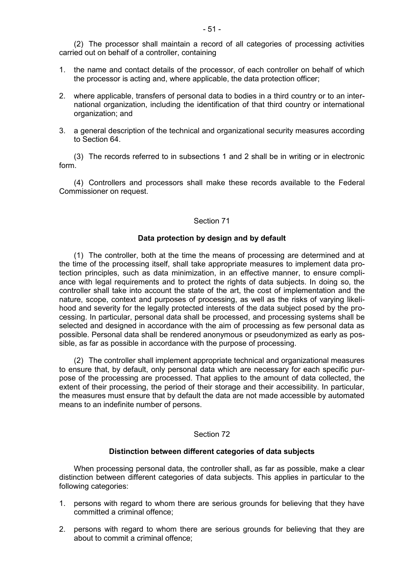(2) The processor shall maintain a record of all categories of processing activities carried out on behalf of a controller, containing

- 1. the name and contact details of the processor, of each controller on behalf of which the processor is acting and, where applicable, the data protection officer;
- 2. where applicable, transfers of personal data to bodies in a third country or to an international organization, including the identification of that third country or international organization; and
- 3. a general description of the technical and organizational security measures according to Section 64.

(3) The records referred to in subsections 1 and 2 shall be in writing or in electronic form.

(4) Controllers and processors shall make these records available to the Federal Commissioner on request.

### Section 71

### **Data protection by design and by default**

(1) The controller, both at the time the means of processing are determined and at the time of the processing itself, shall take appropriate measures to implement data protection principles, such as data minimization, in an effective manner, to ensure compliance with legal requirements and to protect the rights of data subjects. In doing so, the controller shall take into account the state of the art, the cost of implementation and the nature, scope, context and purposes of processing, as well as the risks of varying likelihood and severity for the legally protected interests of the data subject posed by the processing. In particular, personal data shall be processed, and processing systems shall be selected and designed in accordance with the aim of processing as few personal data as possible. Personal data shall be rendered anonymous or pseudonymized as early as possible, as far as possible in accordance with the purpose of processing.

(2) The controller shall implement appropriate technical and organizational measures to ensure that, by default, only personal data which are necessary for each specific purpose of the processing are processed. That applies to the amount of data collected, the extent of their processing, the period of their storage and their accessibility. In particular, the measures must ensure that by default the data are not made accessible by automated means to an indefinite number of persons.

### Section 72

#### **Distinction between different categories of data subjects**

When processing personal data, the controller shall, as far as possible, make a clear distinction between different categories of data subjects. This applies in particular to the following categories:

- 1. persons with regard to whom there are serious grounds for believing that they have committed a criminal offence;
- 2. persons with regard to whom there are serious grounds for believing that they are about to commit a criminal offence;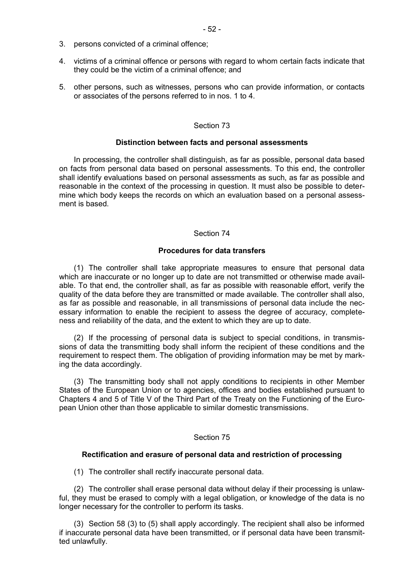- 4. victims of a criminal offence or persons with regard to whom certain facts indicate that they could be the victim of a criminal offence; and
- 5. other persons, such as witnesses, persons who can provide information, or contacts or associates of the persons referred to in nos. 1 to 4.

### Section 73

#### **Distinction between facts and personal assessments**

In processing, the controller shall distinguish, as far as possible, personal data based on facts from personal data based on personal assessments. To this end, the controller shall identify evaluations based on personal assessments as such, as far as possible and reasonable in the context of the processing in question. It must also be possible to determine which body keeps the records on which an evaluation based on a personal assessment is based.

### Section 74

#### **Procedures for data transfers**

(1) The controller shall take appropriate measures to ensure that personal data which are inaccurate or no longer up to date are not transmitted or otherwise made available. To that end, the controller shall, as far as possible with reasonable effort, verify the quality of the data before they are transmitted or made available. The controller shall also, as far as possible and reasonable, in all transmissions of personal data include the necessary information to enable the recipient to assess the degree of accuracy, completeness and reliability of the data, and the extent to which they are up to date.

(2) If the processing of personal data is subject to special conditions, in transmissions of data the transmitting body shall inform the recipient of these conditions and the requirement to respect them. The obligation of providing information may be met by marking the data accordingly.

(3) The transmitting body shall not apply conditions to recipients in other Member States of the European Union or to agencies, offices and bodies established pursuant to Chapters 4 and 5 of Title V of the Third Part of the Treaty on the Functioning of the European Union other than those applicable to similar domestic transmissions.

#### Section 75

#### **Rectification and erasure of personal data and restriction of processing**

(1) The controller shall rectify inaccurate personal data.

(2) The controller shall erase personal data without delay if their processing is unlawful, they must be erased to comply with a legal obligation, or knowledge of the data is no longer necessary for the controller to perform its tasks.

(3) Section 58 (3) to (5) shall apply accordingly. The recipient shall also be informed if inaccurate personal data have been transmitted, or if personal data have been transmitted unlawfully.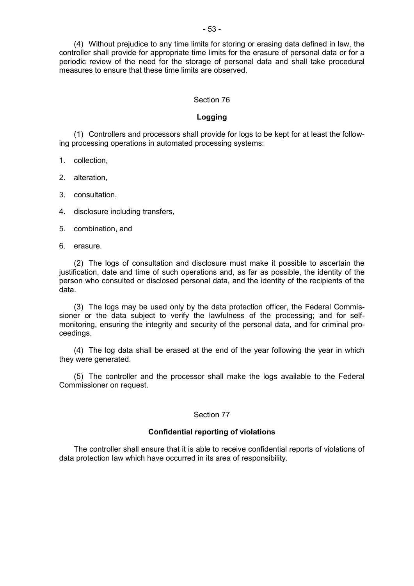(4) Without prejudice to any time limits for storing or erasing data defined in law, the controller shall provide for appropriate time limits for the erasure of personal data or for a periodic review of the need for the storage of personal data and shall take procedural measures to ensure that these time limits are observed.

### Section 76

### **Logging**

(1) Controllers and processors shall provide for logs to be kept for at least the following processing operations in automated processing systems:

1. collection,

2. alteration,

3. consultation,

4. disclosure including transfers,

5. combination, and

6. erasure.

(2) The logs of consultation and disclosure must make it possible to ascertain the justification, date and time of such operations and, as far as possible, the identity of the person who consulted or disclosed personal data, and the identity of the recipients of the data.

(3) The logs may be used only by the data protection officer, the Federal Commissioner or the data subject to verify the lawfulness of the processing; and for selfmonitoring, ensuring the integrity and security of the personal data, and for criminal proceedings.

(4) The log data shall be erased at the end of the year following the year in which they were generated.

(5) The controller and the processor shall make the logs available to the Federal Commissioner on request.

#### Section 77

### **Confidential reporting of violations**

The controller shall ensure that it is able to receive confidential reports of violations of data protection law which have occurred in its area of responsibility.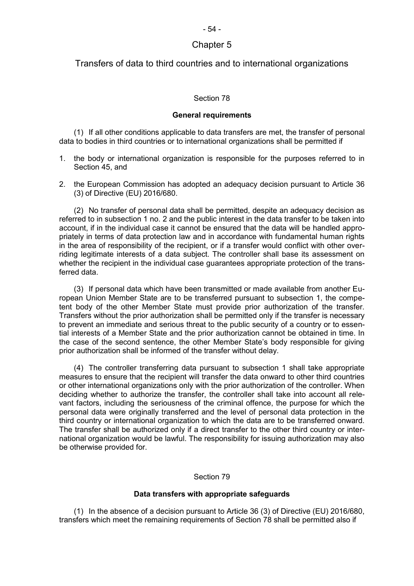# Chapter 5

### Transfers of data to third countries and to international organizations

### Section 78

#### **General requirements**

(1) If all other conditions applicable to data transfers are met, the transfer of personal data to bodies in third countries or to international organizations shall be permitted if

- 1. the body or international organization is responsible for the purposes referred to in Section 45, and
- 2. the European Commission has adopted an adequacy decision pursuant to Article 36 (3) of Directive (EU) 2016/680.

(2) No transfer of personal data shall be permitted, despite an adequacy decision as referred to in subsection 1 no. 2 and the public interest in the data transfer to be taken into account, if in the individual case it cannot be ensured that the data will be handled appropriately in terms of data protection law and in accordance with fundamental human rights in the area of responsibility of the recipient, or if a transfer would conflict with other overriding legitimate interests of a data subject. The controller shall base its assessment on whether the recipient in the individual case guarantees appropriate protection of the transferred data.

(3) If personal data which have been transmitted or made available from another European Union Member State are to be transferred pursuant to subsection 1, the competent body of the other Member State must provide prior authorization of the transfer. Transfers without the prior authorization shall be permitted only if the transfer is necessary to prevent an immediate and serious threat to the public security of a country or to essential interests of a Member State and the prior authorization cannot be obtained in time. In the case of the second sentence, the other Member State's body responsible for giving prior authorization shall be informed of the transfer without delay.

(4) The controller transferring data pursuant to subsection 1 shall take appropriate measures to ensure that the recipient will transfer the data onward to other third countries or other international organizations only with the prior authorization of the controller. When deciding whether to authorize the transfer, the controller shall take into account all relevant factors, including the seriousness of the criminal offence, the purpose for which the personal data were originally transferred and the level of personal data protection in the third country or international organization to which the data are to be transferred onward. The transfer shall be authorized only if a direct transfer to the other third country or international organization would be lawful. The responsibility for issuing authorization may also be otherwise provided for.

#### Section 79

#### **Data transfers with appropriate safeguards**

(1) In the absence of a decision pursuant to Article 36 (3) of Directive (EU) 2016/680, transfers which meet the remaining requirements of Section 78 shall be permitted also if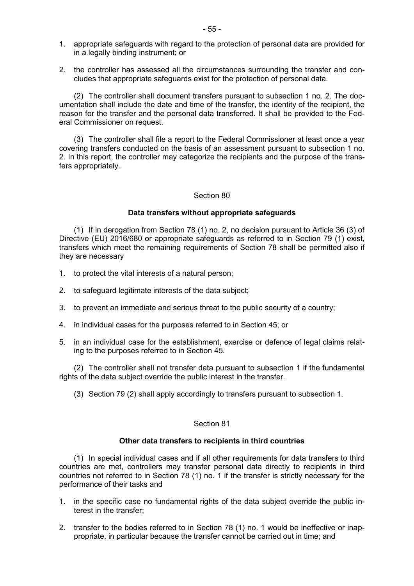- 1. appropriate safeguards with regard to the protection of personal data are provided for in a legally binding instrument; or
- 2. the controller has assessed all the circumstances surrounding the transfer and concludes that appropriate safeguards exist for the protection of personal data.

(2) The controller shall document transfers pursuant to subsection 1 no. 2. The documentation shall include the date and time of the transfer, the identity of the recipient, the reason for the transfer and the personal data transferred. It shall be provided to the Federal Commissioner on request.

(3) The controller shall file a report to the Federal Commissioner at least once a year covering transfers conducted on the basis of an assessment pursuant to subsection 1 no. 2. In this report, the controller may categorize the recipients and the purpose of the transfers appropriately.

#### Section 80

### **Data transfers without appropriate safeguards**

(1) If in derogation from Section 78 (1) no. 2, no decision pursuant to Article 36 (3) of Directive (EU) 2016/680 or appropriate safeguards as referred to in Section 79 (1) exist, transfers which meet the remaining requirements of Section 78 shall be permitted also if they are necessary

- 1. to protect the vital interests of a natural person;
- 2. to safeguard legitimate interests of the data subject;
- 3. to prevent an immediate and serious threat to the public security of a country;
- 4. in individual cases for the purposes referred to in Section 45; or
- 5. in an individual case for the establishment, exercise or defence of legal claims relating to the purposes referred to in Section 45.

(2) The controller shall not transfer data pursuant to subsection 1 if the fundamental rights of the data subject override the public interest in the transfer.

(3) Section 79 (2) shall apply accordingly to transfers pursuant to subsection 1.

### Section 81

### **Other data transfers to recipients in third countries**

(1) In special individual cases and if all other requirements for data transfers to third countries are met, controllers may transfer personal data directly to recipients in third countries not referred to in Section 78 (1) no. 1 if the transfer is strictly necessary for the performance of their tasks and

- 1. in the specific case no fundamental rights of the data subject override the public interest in the transfer;
- 2. transfer to the bodies referred to in Section 78 (1) no. 1 would be ineffective or inappropriate, in particular because the transfer cannot be carried out in time; and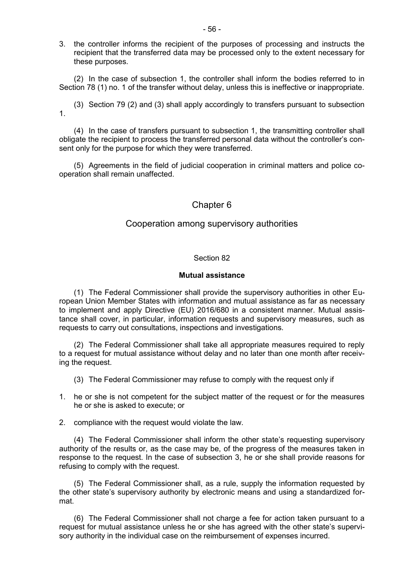3. the controller informs the recipient of the purposes of processing and instructs the recipient that the transferred data may be processed only to the extent necessary for these purposes.

(2) In the case of subsection 1, the controller shall inform the bodies referred to in Section 78 (1) no. 1 of the transfer without delay, unless this is ineffective or inappropriate.

(3) Section 79 (2) and (3) shall apply accordingly to transfers pursuant to subsection 1.

(4) In the case of transfers pursuant to subsection 1, the transmitting controller shall obligate the recipient to process the transferred personal data without the controller's consent only for the purpose for which they were transferred.

(5) Agreements in the field of judicial cooperation in criminal matters and police cooperation shall remain unaffected.

### Chapter 6

### Cooperation among supervisory authorities

### Section 82

#### **Mutual assistance**

(1) The Federal Commissioner shall provide the supervisory authorities in other European Union Member States with information and mutual assistance as far as necessary to implement and apply Directive (EU) 2016/680 in a consistent manner. Mutual assistance shall cover, in particular, information requests and supervisory measures, such as requests to carry out consultations, inspections and investigations.

(2) The Federal Commissioner shall take all appropriate measures required to reply to a request for mutual assistance without delay and no later than one month after receiving the request.

- (3) The Federal Commissioner may refuse to comply with the request only if
- 1. he or she is not competent for the subject matter of the request or for the measures he or she is asked to execute; or

2. compliance with the request would violate the law.

(4) The Federal Commissioner shall inform the other state's requesting supervisory authority of the results or, as the case may be, of the progress of the measures taken in response to the request. In the case of subsection 3, he or she shall provide reasons for refusing to comply with the request.

(5) The Federal Commissioner shall, as a rule, supply the information requested by the other state's supervisory authority by electronic means and using a standardized format.

(6) The Federal Commissioner shall not charge a fee for action taken pursuant to a request for mutual assistance unless he or she has agreed with the other state's supervisory authority in the individual case on the reimbursement of expenses incurred.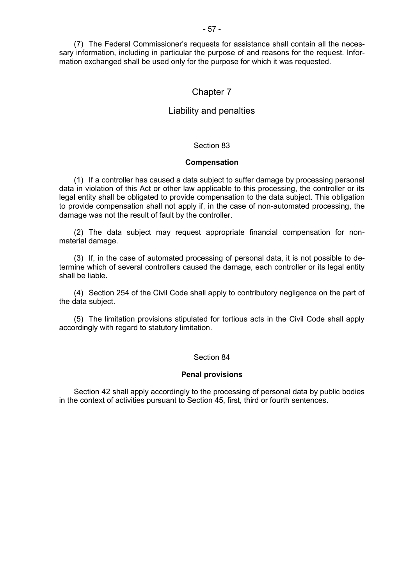(7) The Federal Commissioner's requests for assistance shall contain all the necessary information, including in particular the purpose of and reasons for the request. Information exchanged shall be used only for the purpose for which it was requested.

### Chapter 7

### Liability and penalties

### Section 83

#### **Compensation**

(1) If a controller has caused a data subject to suffer damage by processing personal data in violation of this Act or other law applicable to this processing, the controller or its legal entity shall be obligated to provide compensation to the data subject. This obligation to provide compensation shall not apply if, in the case of non-automated processing, the damage was not the result of fault by the controller.

(2) The data subject may request appropriate financial compensation for nonmaterial damage.

(3) If, in the case of automated processing of personal data, it is not possible to determine which of several controllers caused the damage, each controller or its legal entity shall be liable.

(4) Section 254 of the Civil Code shall apply to contributory negligence on the part of the data subject.

(5) The limitation provisions stipulated for tortious acts in the Civil Code shall apply accordingly with regard to statutory limitation.

#### Section 84

#### **Penal provisions**

Section 42 shall apply accordingly to the processing of personal data by public bodies in the context of activities pursuant to Section 45, first, third or fourth sentences.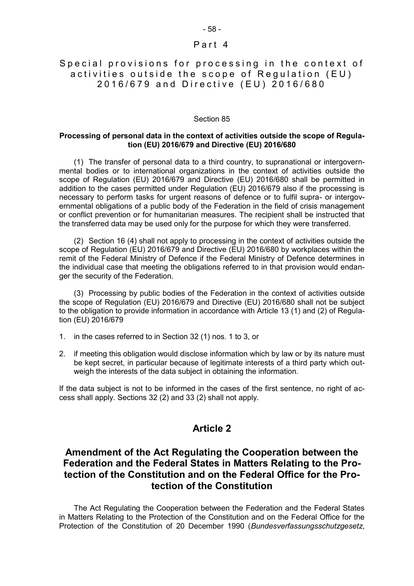### Part 4

### Special provisions for processing in the context of activities outside the scope of Requlation (EU) 2016/679 and Directive (EU) 2016/680

#### Section 85

### **Processing of personal data in the context of activities outside the scope of Regulation (EU) 2016/679 and Directive (EU) 2016/680**

(1) The transfer of personal data to a third country, to supranational or intergovernmental bodies or to international organizations in the context of activities outside the scope of Regulation (EU) 2016/679 and Directive (EU) 2016/680 shall be permitted in addition to the cases permitted under Regulation (EU) 2016/679 also if the processing is necessary to perform tasks for urgent reasons of defence or to fulfil supra- or intergovernmental obligations of a public body of the Federation in the field of crisis management or conflict prevention or for humanitarian measures. The recipient shall be instructed that the transferred data may be used only for the purpose for which they were transferred.

(2) Section 16 (4) shall not apply to processing in the context of activities outside the scope of Regulation (EU) 2016/679 and Directive (EU) 2016/680 by workplaces within the remit of the Federal Ministry of Defence if the Federal Ministry of Defence determines in the individual case that meeting the obligations referred to in that provision would endanger the security of the Federation.

(3) Processing by public bodies of the Federation in the context of activities outside the scope of Regulation (EU) 2016/679 and Directive (EU) 2016/680 shall not be subject to the obligation to provide information in accordance with Article 13 (1) and (2) of Regulation (EU) 2016/679

- 1. in the cases referred to in Section 32 (1) nos. 1 to 3, or
- 2. if meeting this obligation would disclose information which by law or by its nature must be kept secret, in particular because of legitimate interests of a third party which outweigh the interests of the data subject in obtaining the information.

If the data subject is not to be informed in the cases of the first sentence, no right of access shall apply. Sections 32 (2) and 33 (2) shall not apply.

# **Article 2**

# **Amendment of the Act Regulating the Cooperation between the Federation and the Federal States in Matters Relating to the Protection of the Constitution and on the Federal Office for the Protection of the Constitution**

The Act Regulating the Cooperation between the Federation and the Federal States in Matters Relating to the Protection of the Constitution and on the Federal Office for the Protection of the Constitution of 20 December 1990 (*Bundesverfassungsschutzgesetz*,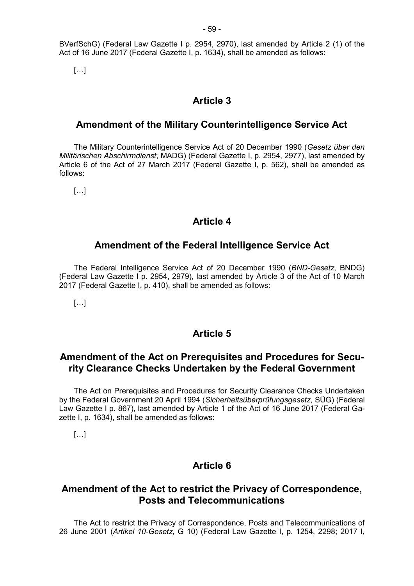BVerfSchG) (Federal Law Gazette I p. 2954, 2970), last amended by Article 2 (1) of the Act of 16 June 2017 (Federal Gazette I, p. 1634), shall be amended as follows:

[…]

# **Article 3**

# **Amendment of the Military Counterintelligence Service Act**

The Military Counterintelligence Service Act of 20 December 1990 (*Gesetz über den Militärischen Abschirmdienst*, MADG) (Federal Gazette I, p. 2954, 2977), last amended by Article 6 of the Act of 27 March 2017 (Federal Gazette I, p. 562), shall be amended as follows:

 $[...]$ 

# **Article 4**

# **Amendment of the Federal Intelligence Service Act**

The Federal Intelligence Service Act of 20 December 1990 (*BND-Gesetz*, BNDG) (Federal Law Gazette I p. 2954, 2979), last amended by Article 3 of the Act of 10 March 2017 (Federal Gazette I, p. 410), shall be amended as follows:

 $[...]$ 

# **Article 5**

# **Amendment of the Act on Prerequisites and Procedures for Security Clearance Checks Undertaken by the Federal Government**

The Act on Prerequisites and Procedures for Security Clearance Checks Undertaken by the Federal Government 20 April 1994 (*Sicherheitsüberprüfungsgesetz*, SÜG) (Federal Law Gazette I p. 867), last amended by Article 1 of the Act of 16 June 2017 (Federal Gazette I, p. 1634), shall be amended as follows:

[…]

# **Article 6**

# **Amendment of the Act to restrict the Privacy of Correspondence, Posts and Telecommunications**

The Act to restrict the Privacy of Correspondence, Posts and Telecommunications of 26 June 2001 (*Artikel 10-Gesetz*, G 10) (Federal Law Gazette I, p. 1254, 2298; 2017 I,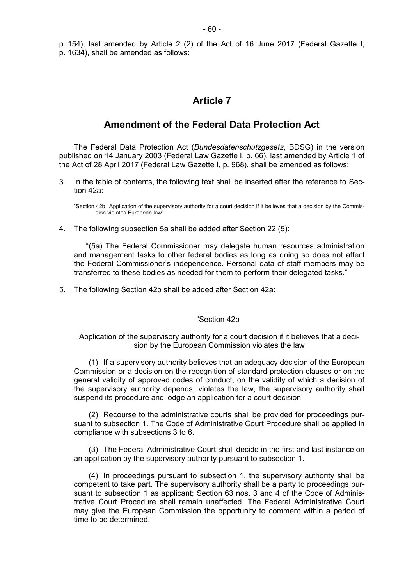p. 154), last amended by Article 2 (2) of the Act of 16 June 2017 (Federal Gazette I, p. 1634), shall be amended as follows:

# **Article 7**

# **Amendment of the Federal Data Protection Act**

The Federal Data Protection Act (*Bundesdatenschutzgesetz*, BDSG) in the version published on 14 January 2003 (Federal Law Gazette I, p. 66), last amended by Article 1 of the Act of 28 April 2017 (Federal Law Gazette I, p. 968), shall be amended as follows:

3. In the table of contents, the following text shall be inserted after the reference to Section 42a:

"Section 42b Application of the supervisory authority for a court decision if it believes that a decision by the Commission violates European law"

4. The following subsection 5a shall be added after Section 22 (5):

"(5a) The Federal Commissioner may delegate human resources administration and management tasks to other federal bodies as long as doing so does not affect the Federal Commissioner's independence. Personal data of staff members may be transferred to these bodies as needed for them to perform their delegated tasks."

5. The following Section 42b shall be added after Section 42a:

### "Section 42b

Application of the supervisory authority for a court decision if it believes that a decision by the European Commission violates the law

(1) If a supervisory authority believes that an adequacy decision of the European Commission or a decision on the recognition of standard protection clauses or on the general validity of approved codes of conduct, on the validity of which a decision of the supervisory authority depends, violates the law, the supervisory authority shall suspend its procedure and lodge an application for a court decision.

(2) Recourse to the administrative courts shall be provided for proceedings pursuant to subsection 1. The Code of Administrative Court Procedure shall be applied in compliance with subsections 3 to 6.

(3) The Federal Administrative Court shall decide in the first and last instance on an application by the supervisory authority pursuant to subsection 1.

(4) In proceedings pursuant to subsection 1, the supervisory authority shall be competent to take part. The supervisory authority shall be a party to proceedings pursuant to subsection 1 as applicant; Section 63 nos. 3 and 4 of the Code of Administrative Court Procedure shall remain unaffected. The Federal Administrative Court may give the European Commission the opportunity to comment within a period of time to be determined.